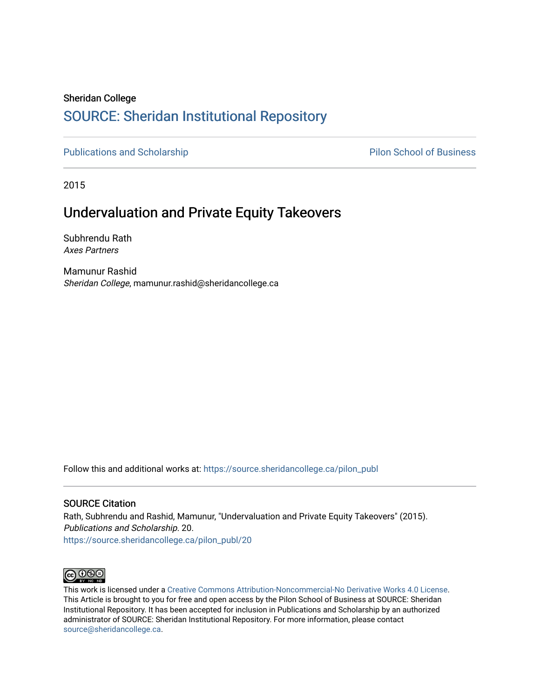# Sheridan College [SOURCE: Sheridan Institutional Repository](https://source.sheridancollege.ca/)

[Publications and Scholarship](https://source.sheridancollege.ca/pilon_publ) **Publications and Scholarship** Pilon School of Business

2015

# Undervaluation and Private Equity Takeovers

Subhrendu Rath Axes Partners

Mamunur Rashid Sheridan College, mamunur.rashid@sheridancollege.ca

Follow this and additional works at: [https://source.sheridancollege.ca/pilon\\_publ](https://source.sheridancollege.ca/pilon_publ?utm_source=source.sheridancollege.ca%2Fpilon_publ%2F20&utm_medium=PDF&utm_campaign=PDFCoverPages)

# SOURCE Citation

Rath, Subhrendu and Rashid, Mamunur, "Undervaluation and Private Equity Takeovers" (2015). Publications and Scholarship. 20. [https://source.sheridancollege.ca/pilon\\_publ/20](https://source.sheridancollege.ca/pilon_publ/20?utm_source=source.sheridancollege.ca%2Fpilon_publ%2F20&utm_medium=PDF&utm_campaign=PDFCoverPages) 



This work is licensed under a [Creative Commons Attribution-Noncommercial-No Derivative Works 4.0 License.](https://creativecommons.org/licenses/by-nc-nd/4.0/) This Article is brought to you for free and open access by the Pilon School of Business at SOURCE: Sheridan Institutional Repository. It has been accepted for inclusion in Publications and Scholarship by an authorized administrator of SOURCE: Sheridan Institutional Repository. For more information, please contact [source@sheridancollege.ca.](mailto:source@sheridancollege.ca)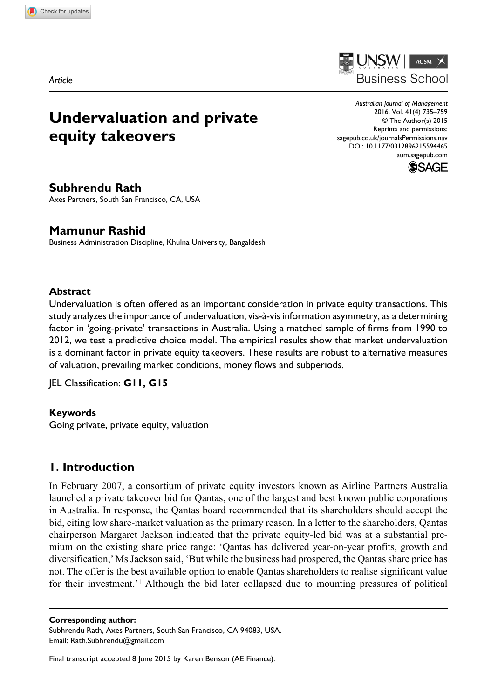*Article*

# **Undervaluation and private equity takeovers**

*Australian Journal of Management* 2016, Vol. 41(4) 735–759 © The Author(s) 2015 Reprints and permissions: sagepub.co.uk/journalsPermissions.nav DOI: 10.1177/0312896215594465 aum.sagepub.com

**Business School** 

■UNSW I



AGSM

## **Subhrendu Rath**

Axes Partners, South San Francisco, CA, USA

# **Mamunur Rashid**

Business Administration Discipline, Khulna University, Bangaldesh

#### **Abstract**

Undervaluation is often offered as an important consideration in private equity transactions. This study analyzes the importance of undervaluation, vis-à-vis information asymmetry, as a determining factor in 'going-private' transactions in Australia. Using a matched sample of firms from 1990 to 2012, we test a predictive choice model. The empirical results show that market undervaluation is a dominant factor in private equity takeovers. These results are robust to alternative measures of valuation, prevailing market conditions, money flows and subperiods.

JEL Classification: **G11, G15**

### **Keywords**

Going private, private equity, valuation

# **1. Introduction**

In February 2007, a consortium of private equity investors known as Airline Partners Australia launched a private takeover bid for Qantas, one of the largest and best known public corporations in Australia. In response, the Qantas board recommended that its shareholders should accept the bid, citing low share-market valuation as the primary reason. In a letter to the shareholders, Qantas chairperson Margaret Jackson indicated that the private equity-led bid was at a substantial premium on the existing share price range: 'Qantas has delivered year-on-year profits, growth and diversification,' Ms Jackson said, 'But while the business had prospered, the Qantas share price has not. The offer is the best available option to enable Qantas shareholders to realise significant value for their investment.'1 Although the bid later collapsed due to mounting pressures of political

**Corresponding author:**

Subhrendu Rath, Axes Partners, South San Francisco, CA 94083, USA. Email: Rath.Subhrendu@gmail.com

Final transcript accepted 8 June 2015 by Karen Benson (AE Finance).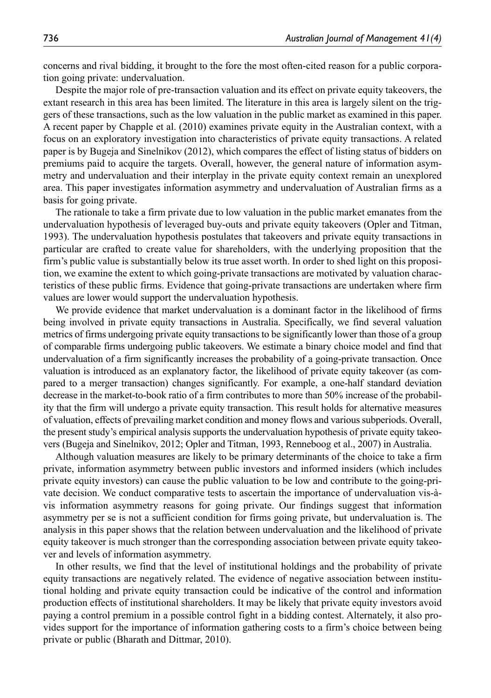concerns and rival bidding, it brought to the fore the most often-cited reason for a public corporation going private: undervaluation.

Despite the major role of pre-transaction valuation and its effect on private equity takeovers, the extant research in this area has been limited. The literature in this area is largely silent on the triggers of these transactions, such as the low valuation in the public market as examined in this paper. A recent paper by Chapple et al. (2010) examines private equity in the Australian context, with a focus on an exploratory investigation into characteristics of private equity transactions. A related paper is by Bugeja and Sinelnikov (2012), which compares the effect of listing status of bidders on premiums paid to acquire the targets. Overall, however, the general nature of information asymmetry and undervaluation and their interplay in the private equity context remain an unexplored area. This paper investigates information asymmetry and undervaluation of Australian firms as a basis for going private.

The rationale to take a firm private due to low valuation in the public market emanates from the undervaluation hypothesis of leveraged buy-outs and private equity takeovers (Opler and Titman, 1993). The undervaluation hypothesis postulates that takeovers and private equity transactions in particular are crafted to create value for shareholders, with the underlying proposition that the firm's public value is substantially below its true asset worth. In order to shed light on this proposition, we examine the extent to which going-private transactions are motivated by valuation characteristics of these public firms. Evidence that going-private transactions are undertaken where firm values are lower would support the undervaluation hypothesis.

We provide evidence that market undervaluation is a dominant factor in the likelihood of firms being involved in private equity transactions in Australia. Specifically, we find several valuation metrics of firms undergoing private equity transactions to be significantly lower than those of a group of comparable firms undergoing public takeovers. We estimate a binary choice model and find that undervaluation of a firm significantly increases the probability of a going-private transaction. Once valuation is introduced as an explanatory factor, the likelihood of private equity takeover (as compared to a merger transaction) changes significantly. For example, a one-half standard deviation decrease in the market-to-book ratio of a firm contributes to more than 50% increase of the probability that the firm will undergo a private equity transaction. This result holds for alternative measures of valuation, effects of prevailing market condition and money flows and various subperiods. Overall, the present study's empirical analysis supports the undervaluation hypothesis of private equity takeovers (Bugeja and Sinelnikov, 2012; Opler and Titman, 1993, Renneboog et al., 2007) in Australia.

Although valuation measures are likely to be primary determinants of the choice to take a firm private, information asymmetry between public investors and informed insiders (which includes private equity investors) can cause the public valuation to be low and contribute to the going-private decision. We conduct comparative tests to ascertain the importance of undervaluation vis-àvis information asymmetry reasons for going private. Our findings suggest that information asymmetry per se is not a sufficient condition for firms going private, but undervaluation is. The analysis in this paper shows that the relation between undervaluation and the likelihood of private equity takeover is much stronger than the corresponding association between private equity takeover and levels of information asymmetry.

In other results, we find that the level of institutional holdings and the probability of private equity transactions are negatively related. The evidence of negative association between institutional holding and private equity transaction could be indicative of the control and information production effects of institutional shareholders. It may be likely that private equity investors avoid paying a control premium in a possible control fight in a bidding contest. Alternately, it also provides support for the importance of information gathering costs to a firm's choice between being private or public (Bharath and Dittmar, 2010).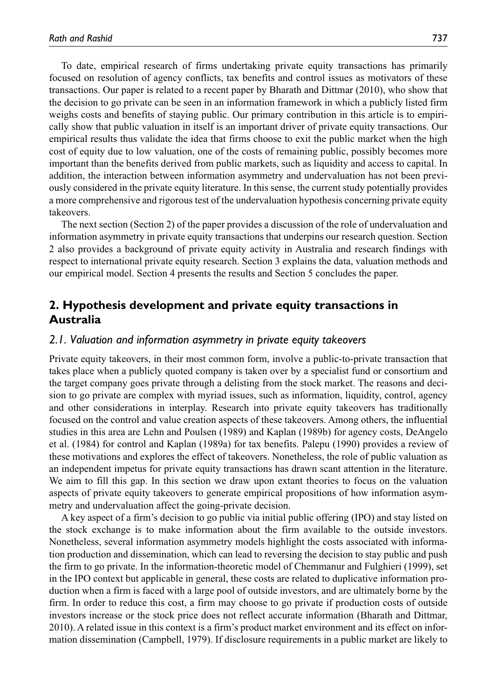To date, empirical research of firms undertaking private equity transactions has primarily focused on resolution of agency conflicts, tax benefits and control issues as motivators of these transactions. Our paper is related to a recent paper by Bharath and Dittmar (2010), who show that the decision to go private can be seen in an information framework in which a publicly listed firm weighs costs and benefits of staying public. Our primary contribution in this article is to empirically show that public valuation in itself is an important driver of private equity transactions. Our empirical results thus validate the idea that firms choose to exit the public market when the high cost of equity due to low valuation, one of the costs of remaining public, possibly becomes more important than the benefits derived from public markets, such as liquidity and access to capital. In addition, the interaction between information asymmetry and undervaluation has not been previously considered in the private equity literature. In this sense, the current study potentially provides a more comprehensive and rigorous test of the undervaluation hypothesis concerning private equity takeovers.

The next section (Section 2) of the paper provides a discussion of the role of undervaluation and information asymmetry in private equity transactions that underpins our research question. Section 2 also provides a background of private equity activity in Australia and research findings with respect to international private equity research. Section 3 explains the data, valuation methods and our empirical model. Section 4 presents the results and Section 5 concludes the paper.

# **2. Hypothesis development and private equity transactions in Australia**

#### *2.1. Valuation and information asymmetry in private equity takeovers*

Private equity takeovers, in their most common form, involve a public-to-private transaction that takes place when a publicly quoted company is taken over by a specialist fund or consortium and the target company goes private through a delisting from the stock market. The reasons and decision to go private are complex with myriad issues, such as information, liquidity, control, agency and other considerations in interplay. Research into private equity takeovers has traditionally focused on the control and value creation aspects of these takeovers. Among others, the influential studies in this area are Lehn and Poulsen (1989) and Kaplan (1989b) for agency costs, DeAngelo et al. (1984) for control and Kaplan (1989a) for tax benefits. Palepu (1990) provides a review of these motivations and explores the effect of takeovers. Nonetheless, the role of public valuation as an independent impetus for private equity transactions has drawn scant attention in the literature. We aim to fill this gap. In this section we draw upon extant theories to focus on the valuation aspects of private equity takeovers to generate empirical propositions of how information asymmetry and undervaluation affect the going-private decision.

A key aspect of a firm's decision to go public via initial public offering (IPO) and stay listed on the stock exchange is to make information about the firm available to the outside investors. Nonetheless, several information asymmetry models highlight the costs associated with information production and dissemination, which can lead to reversing the decision to stay public and push the firm to go private. In the information-theoretic model of Chemmanur and Fulghieri (1999), set in the IPO context but applicable in general, these costs are related to duplicative information production when a firm is faced with a large pool of outside investors, and are ultimately borne by the firm. In order to reduce this cost, a firm may choose to go private if production costs of outside investors increase or the stock price does not reflect accurate information (Bharath and Dittmar, 2010). A related issue in this context is a firm's product market environment and its effect on information dissemination (Campbell, 1979). If disclosure requirements in a public market are likely to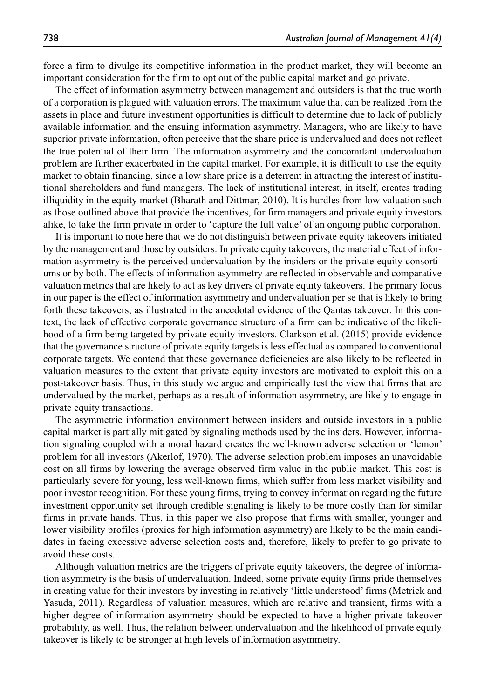force a firm to divulge its competitive information in the product market, they will become an important consideration for the firm to opt out of the public capital market and go private.

The effect of information asymmetry between management and outsiders is that the true worth of a corporation is plagued with valuation errors. The maximum value that can be realized from the assets in place and future investment opportunities is difficult to determine due to lack of publicly available information and the ensuing information asymmetry. Managers, who are likely to have superior private information, often perceive that the share price is undervalued and does not reflect the true potential of their firm. The information asymmetry and the concomitant undervaluation problem are further exacerbated in the capital market. For example, it is difficult to use the equity market to obtain financing, since a low share price is a deterrent in attracting the interest of institutional shareholders and fund managers. The lack of institutional interest, in itself, creates trading illiquidity in the equity market (Bharath and Dittmar, 2010). It is hurdles from low valuation such as those outlined above that provide the incentives, for firm managers and private equity investors alike, to take the firm private in order to 'capture the full value' of an ongoing public corporation.

It is important to note here that we do not distinguish between private equity takeovers initiated by the management and those by outsiders. In private equity takeovers, the material effect of information asymmetry is the perceived undervaluation by the insiders or the private equity consortiums or by both. The effects of information asymmetry are reflected in observable and comparative valuation metrics that are likely to act as key drivers of private equity takeovers. The primary focus in our paper is the effect of information asymmetry and undervaluation per se that is likely to bring forth these takeovers, as illustrated in the anecdotal evidence of the Qantas takeover. In this context, the lack of effective corporate governance structure of a firm can be indicative of the likelihood of a firm being targeted by private equity investors. Clarkson et al. (2015) provide evidence that the governance structure of private equity targets is less effectual as compared to conventional corporate targets. We contend that these governance deficiencies are also likely to be reflected in valuation measures to the extent that private equity investors are motivated to exploit this on a post-takeover basis. Thus, in this study we argue and empirically test the view that firms that are undervalued by the market, perhaps as a result of information asymmetry, are likely to engage in private equity transactions.

The asymmetric information environment between insiders and outside investors in a public capital market is partially mitigated by signaling methods used by the insiders. However, information signaling coupled with a moral hazard creates the well-known adverse selection or 'lemon' problem for all investors (Akerlof, 1970). The adverse selection problem imposes an unavoidable cost on all firms by lowering the average observed firm value in the public market. This cost is particularly severe for young, less well-known firms, which suffer from less market visibility and poor investor recognition. For these young firms, trying to convey information regarding the future investment opportunity set through credible signaling is likely to be more costly than for similar firms in private hands. Thus, in this paper we also propose that firms with smaller, younger and lower visibility profiles (proxies for high information asymmetry) are likely to be the main candidates in facing excessive adverse selection costs and, therefore, likely to prefer to go private to avoid these costs.

Although valuation metrics are the triggers of private equity takeovers, the degree of information asymmetry is the basis of undervaluation. Indeed, some private equity firms pride themselves in creating value for their investors by investing in relatively 'little understood' firms (Metrick and Yasuda, 2011). Regardless of valuation measures, which are relative and transient, firms with a higher degree of information asymmetry should be expected to have a higher private takeover probability, as well. Thus, the relation between undervaluation and the likelihood of private equity takeover is likely to be stronger at high levels of information asymmetry.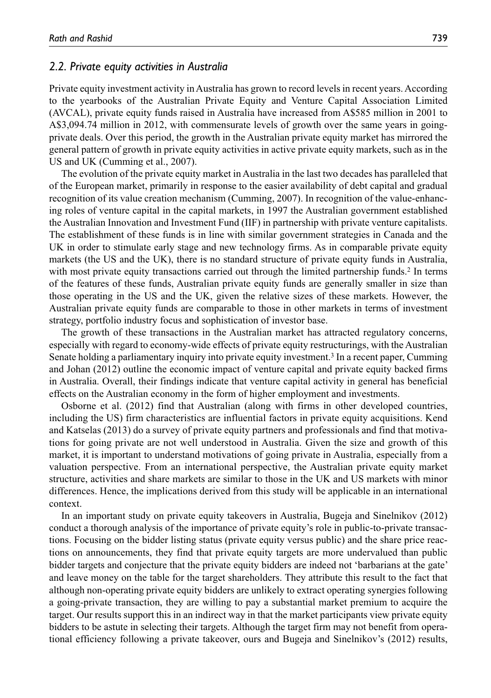#### *2.2. Private equity activities in Australia*

Private equity investment activity in Australia has grown to record levels in recent years. According to the yearbooks of the Australian Private Equity and Venture Capital Association Limited (AVCAL), private equity funds raised in Australia have increased from A\$585 million in 2001 to A\$3,094.74 million in 2012, with commensurate levels of growth over the same years in goingprivate deals. Over this period, the growth in the Australian private equity market has mirrored the general pattern of growth in private equity activities in active private equity markets, such as in the US and UK (Cumming et al., 2007).

The evolution of the private equity market in Australia in the last two decades has paralleled that of the European market, primarily in response to the easier availability of debt capital and gradual recognition of its value creation mechanism (Cumming, 2007). In recognition of the value-enhancing roles of venture capital in the capital markets, in 1997 the Australian government established the Australian Innovation and Investment Fund (IIF) in partnership with private venture capitalists. The establishment of these funds is in line with similar government strategies in Canada and the UK in order to stimulate early stage and new technology firms. As in comparable private equity markets (the US and the UK), there is no standard structure of private equity funds in Australia, with most private equity transactions carried out through the limited partnership funds.<sup>2</sup> In terms of the features of these funds, Australian private equity funds are generally smaller in size than those operating in the US and the UK, given the relative sizes of these markets. However, the Australian private equity funds are comparable to those in other markets in terms of investment strategy, portfolio industry focus and sophistication of investor base.

The growth of these transactions in the Australian market has attracted regulatory concerns, especially with regard to economy-wide effects of private equity restructurings, with the Australian Senate holding a parliamentary inquiry into private equity investment.<sup>3</sup> In a recent paper, Cumming and Johan (2012) outline the economic impact of venture capital and private equity backed firms in Australia. Overall, their findings indicate that venture capital activity in general has beneficial effects on the Australian economy in the form of higher employment and investments.

Osborne et al. (2012) find that Australian (along with firms in other developed countries, including the US) firm characteristics are influential factors in private equity acquisitions. Kend and Katselas (2013) do a survey of private equity partners and professionals and find that motivations for going private are not well understood in Australia. Given the size and growth of this market, it is important to understand motivations of going private in Australia, especially from a valuation perspective. From an international perspective, the Australian private equity market structure, activities and share markets are similar to those in the UK and US markets with minor differences. Hence, the implications derived from this study will be applicable in an international context.

In an important study on private equity takeovers in Australia, Bugeja and Sinelnikov (2012) conduct a thorough analysis of the importance of private equity's role in public-to-private transactions. Focusing on the bidder listing status (private equity versus public) and the share price reactions on announcements, they find that private equity targets are more undervalued than public bidder targets and conjecture that the private equity bidders are indeed not 'barbarians at the gate' and leave money on the table for the target shareholders. They attribute this result to the fact that although non-operating private equity bidders are unlikely to extract operating synergies following a going-private transaction, they are willing to pay a substantial market premium to acquire the target. Our results support this in an indirect way in that the market participants view private equity bidders to be astute in selecting their targets. Although the target firm may not benefit from operational efficiency following a private takeover, ours and Bugeja and Sinelnikov's (2012) results,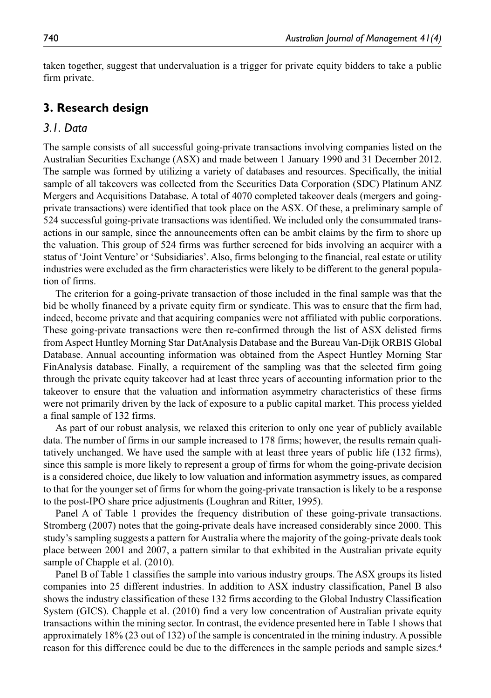taken together, suggest that undervaluation is a trigger for private equity bidders to take a public firm private.

## **3. Research design**

#### *3.1. Data*

The sample consists of all successful going-private transactions involving companies listed on the Australian Securities Exchange (ASX) and made between 1 January 1990 and 31 December 2012. The sample was formed by utilizing a variety of databases and resources. Specifically, the initial sample of all takeovers was collected from the Securities Data Corporation (SDC) Platinum ANZ Mergers and Acquisitions Database. A total of 4070 completed takeover deals (mergers and goingprivate transactions) were identified that took place on the ASX. Of these, a preliminary sample of 524 successful going-private transactions was identified. We included only the consummated transactions in our sample, since the announcements often can be ambit claims by the firm to shore up the valuation. This group of 524 firms was further screened for bids involving an acquirer with a status of 'Joint Venture' or 'Subsidiaries'. Also, firms belonging to the financial, real estate or utility industries were excluded as the firm characteristics were likely to be different to the general population of firms.

The criterion for a going-private transaction of those included in the final sample was that the bid be wholly financed by a private equity firm or syndicate. This was to ensure that the firm had, indeed, become private and that acquiring companies were not affiliated with public corporations. These going-private transactions were then re-confirmed through the list of ASX delisted firms from Aspect Huntley Morning Star DatAnalysis Database and the Bureau Van-Dijk ORBIS Global Database. Annual accounting information was obtained from the Aspect Huntley Morning Star FinAnalysis database. Finally, a requirement of the sampling was that the selected firm going through the private equity takeover had at least three years of accounting information prior to the takeover to ensure that the valuation and information asymmetry characteristics of these firms were not primarily driven by the lack of exposure to a public capital market. This process yielded a final sample of 132 firms.

As part of our robust analysis, we relaxed this criterion to only one year of publicly available data. The number of firms in our sample increased to 178 firms; however, the results remain qualitatively unchanged. We have used the sample with at least three years of public life (132 firms), since this sample is more likely to represent a group of firms for whom the going-private decision is a considered choice, due likely to low valuation and information asymmetry issues, as compared to that for the younger set of firms for whom the going-private transaction is likely to be a response to the post-IPO share price adjustments (Loughran and Ritter, 1995).

Panel A of Table 1 provides the frequency distribution of these going-private transactions. Stromberg (2007) notes that the going-private deals have increased considerably since 2000. This study's sampling suggests a pattern for Australia where the majority of the going-private deals took place between 2001 and 2007, a pattern similar to that exhibited in the Australian private equity sample of Chapple et al. (2010).

Panel B of Table 1 classifies the sample into various industry groups. The ASX groups its listed companies into 25 different industries. In addition to ASX industry classification, Panel B also shows the industry classification of these 132 firms according to the Global Industry Classification System (GICS). Chapple et al. (2010) find a very low concentration of Australian private equity transactions within the mining sector. In contrast, the evidence presented here in Table 1 shows that approximately 18% (23 out of 132) of the sample is concentrated in the mining industry. A possible reason for this difference could be due to the differences in the sample periods and sample sizes.4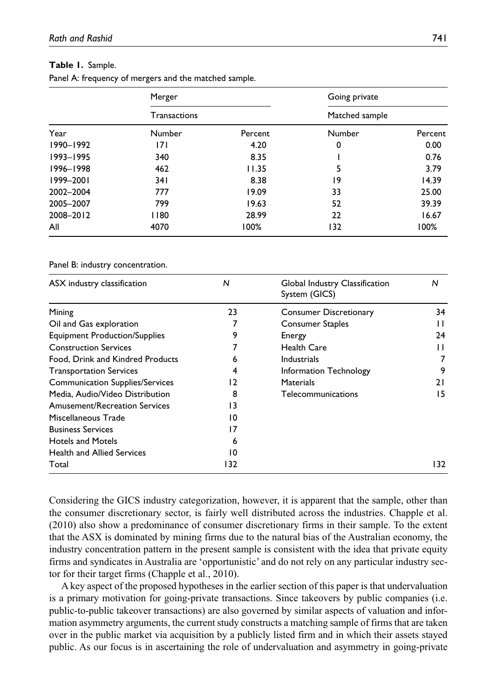#### **Table 1.** Sample.

Panel A: frequency of mergers and the matched sample.

|           | Merger              |         | Going private  |         |
|-----------|---------------------|---------|----------------|---------|
|           | <b>Transactions</b> |         | Matched sample |         |
| Year      | Number              | Percent | Number         | Percent |
| 1990-1992 | 171                 | 4.20    | 0              | 0.00    |
| 1993-1995 | 340                 | 8.35    |                | 0.76    |
| 1996-1998 | 462                 | 11.35   | 5              | 3.79    |
| 1999-2001 | 34 I                | 8.38    | 19             | 14.39   |
| 2002-2004 | 777                 | 19.09   | 33             | 25.00   |
| 2005-2007 | 799                 | 19.63   | 52             | 39.39   |
| 2008-2012 | 1180                | 28.99   | 22             | 16.67   |
| All       | 4070                | 100%    | 132            | 100%    |

Panel B: industry concentration.

| ASX industry classification            | N   | Global Industry Classification<br>System (GICS) | N            |
|----------------------------------------|-----|-------------------------------------------------|--------------|
| Mining                                 | 23  | <b>Consumer Discretionary</b>                   | 34           |
| Oil and Gas exploration                |     | Consumer Staples                                | $\mathsf{I}$ |
| <b>Equipment Production/Supplies</b>   | 9   | Energy                                          | 24           |
| <b>Construction Services</b>           |     | Health Care                                     | П            |
| Food, Drink and Kindred Products       | 6   | Industrials                                     |              |
| <b>Transportation Services</b>         | 4   | Information Technology                          | 9            |
| <b>Communication Supplies/Services</b> | 12  | <b>Materials</b>                                | 21           |
| Media, Audio/Video Distribution        | 8   | Telecommunications                              | 15           |
| <b>Amusement/Recreation Services</b>   | 13  |                                                 |              |
| Miscellaneous Trade                    | 10  |                                                 |              |
| <b>Business Services</b>               | 17  |                                                 |              |
| <b>Hotels and Motels</b>               | 6   |                                                 |              |
| <b>Health and Allied Services</b>      | 10  |                                                 |              |
| Total                                  | 132 |                                                 | 132          |

Considering the GICS industry categorization, however, it is apparent that the sample, other than the consumer discretionary sector, is fairly well distributed across the industries. Chapple et al. (2010) also show a predominance of consumer discretionary firms in their sample. To the extent that the ASX is dominated by mining firms due to the natural bias of the Australian economy, the industry concentration pattern in the present sample is consistent with the idea that private equity firms and syndicates in Australia are 'opportunistic' and do not rely on any particular industry sector for their target firms (Chapple et al., 2010).

A key aspect of the proposed hypotheses in the earlier section of this paper is that undervaluation is a primary motivation for going-private transactions. Since takeovers by public companies (i.e. public-to-public takeover transactions) are also governed by similar aspects of valuation and information asymmetry arguments, the current study constructs a matching sample of firms that are taken over in the public market via acquisition by a publicly listed firm and in which their assets stayed public. As our focus is in ascertaining the role of undervaluation and asymmetry in going-private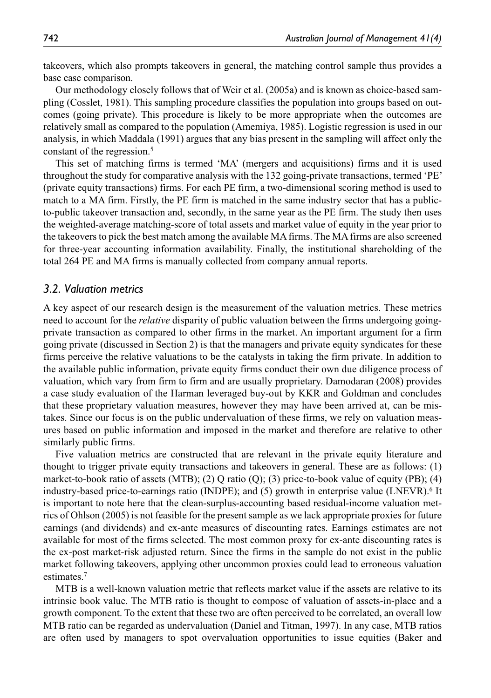takeovers, which also prompts takeovers in general, the matching control sample thus provides a base case comparison.

Our methodology closely follows that of Weir et al. (2005a) and is known as choice-based sampling (Cosslet, 1981). This sampling procedure classifies the population into groups based on outcomes (going private). This procedure is likely to be more appropriate when the outcomes are relatively small as compared to the population (Amemiya, 1985). Logistic regression is used in our analysis, in which Maddala (1991) argues that any bias present in the sampling will affect only the constant of the regression.<sup>5</sup>

This set of matching firms is termed 'MA' (mergers and acquisitions) firms and it is used throughout the study for comparative analysis with the 132 going-private transactions, termed 'PE' (private equity transactions) firms. For each PE firm, a two-dimensional scoring method is used to match to a MA firm. Firstly, the PE firm is matched in the same industry sector that has a publicto-public takeover transaction and, secondly, in the same year as the PE firm. The study then uses the weighted-average matching-score of total assets and market value of equity in the year prior to the takeovers to pick the best match among the available MA firms. The MA firms are also screened for three-year accounting information availability. Finally, the institutional shareholding of the total 264 PE and MA firms is manually collected from company annual reports.

#### *3.2. Valuation metrics*

A key aspect of our research design is the measurement of the valuation metrics. These metrics need to account for the *relative* disparity of public valuation between the firms undergoing goingprivate transaction as compared to other firms in the market. An important argument for a firm going private (discussed in Section 2) is that the managers and private equity syndicates for these firms perceive the relative valuations to be the catalysts in taking the firm private. In addition to the available public information, private equity firms conduct their own due diligence process of valuation, which vary from firm to firm and are usually proprietary. Damodaran (2008) provides a case study evaluation of the Harman leveraged buy-out by KKR and Goldman and concludes that these proprietary valuation measures, however they may have been arrived at, can be mistakes. Since our focus is on the public undervaluation of these firms, we rely on valuation measures based on public information and imposed in the market and therefore are relative to other similarly public firms.

Five valuation metrics are constructed that are relevant in the private equity literature and thought to trigger private equity transactions and takeovers in general. These are as follows: (1) market-to-book ratio of assets  $(MTB)$ ; (2) Q ratio (Q); (3) price-to-book value of equity (PB); (4) industry-based price-to-earnings ratio (INDPE); and (5) growth in enterprise value (LNEVR).<sup>6</sup> It is important to note here that the clean-surplus-accounting based residual-income valuation metrics of Ohlson (2005) is not feasible for the present sample as we lack appropriate proxies for future earnings (and dividends) and ex-ante measures of discounting rates. Earnings estimates are not available for most of the firms selected. The most common proxy for ex-ante discounting rates is the ex-post market-risk adjusted return. Since the firms in the sample do not exist in the public market following takeovers, applying other uncommon proxies could lead to erroneous valuation estimates.7

MTB is a well-known valuation metric that reflects market value if the assets are relative to its intrinsic book value. The MTB ratio is thought to compose of valuation of assets-in-place and a growth component. To the extent that these two are often perceived to be correlated, an overall low MTB ratio can be regarded as undervaluation (Daniel and Titman, 1997). In any case, MTB ratios are often used by managers to spot overvaluation opportunities to issue equities (Baker and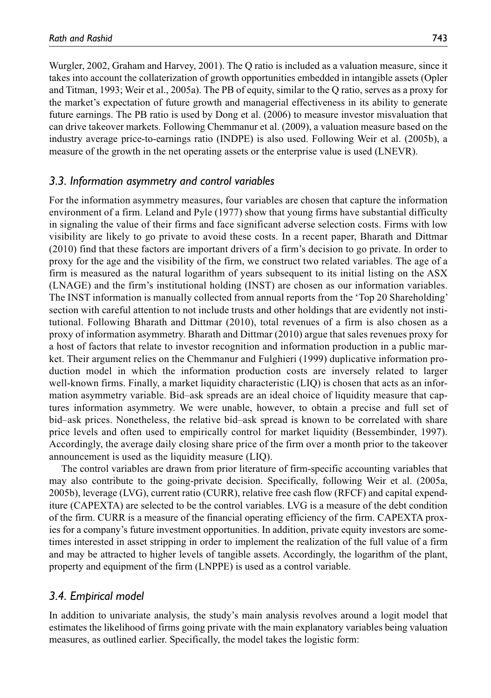Wurgler, 2002, Graham and Harvey, 2001). The Q ratio is included as a valuation measure, since it takes into account the collaterization of growth opportunities embedded in intangible assets (Opler and Titman, 1993; Weir et al., 2005a). The PB of equity, similar to the Q ratio, serves as a proxy for the market's expectation of future growth and managerial effectiveness in its ability to generate future earnings. The PB ratio is used by Dong et al. (2006) to measure investor misvaluation that can drive takeover markets. Following Chemmanur et al. (2009), a valuation measure based on the industry average price-to-earnings ratio (INDPE) is also used. Following Weir et al. (2005b), a measure of the growth in the net operating assets or the enterprise value is used (LNEVR).

### *3.3. Information asymmetry and control variables*

For the information asymmetry measures, four variables are chosen that capture the information environment of a firm. Leland and Pyle (1977) show that young firms have substantial difficulty in signaling the value of their firms and face significant adverse selection costs. Firms with low visibility are likely to go private to avoid these costs. In a recent paper, Bharath and Dittmar (2010) find that these factors are important drivers of a firm's decision to go private. In order to proxy for the age and the visibility of the firm, we construct two related variables. The age of a firm is measured as the natural logarithm of years subsequent to its initial listing on the ASX (LNAGE) and the firm's institutional holding (INST) are chosen as our information variables. The INST information is manually collected from annual reports from the 'Top 20 Shareholding' section with careful attention to not include trusts and other holdings that are evidently not institutional. Following Bharath and Dittmar (2010), total revenues of a firm is also chosen as a proxy of information asymmetry. Bharath and Dittmar (2010) argue that sales revenues proxy for a host of factors that relate to investor recognition and information production in a public market. Their argument relies on the Chemmanur and Fulghieri (1999) duplicative information production model in which the information production costs are inversely related to larger well-known firms. Finally, a market liquidity characteristic (LIQ) is chosen that acts as an information asymmetry variable. Bid–ask spreads are an ideal choice of liquidity measure that captures information asymmetry. We were unable, however, to obtain a precise and full set of bid–ask prices. Nonetheless, the relative bid–ask spread is known to be correlated with share price levels and often used to empirically control for market liquidity (Bessembinder, 1997). Accordingly, the average daily closing share price of the firm over a month prior to the takeover announcement is used as the liquidity measure (LIQ).

The control variables are drawn from prior literature of firm-specific accounting variables that may also contribute to the going-private decision. Specifically, following Weir et al. (2005a, 2005b), leverage (LVG), current ratio (CURR), relative free cash flow (RFCF) and capital expenditure (CAPEXTA) are selected to be the control variables. LVG is a measure of the debt condition of the firm. CURR is a measure of the financial operating efficiency of the firm. CAPEXTA proxies for a company's future investment opportunities. In addition, private equity investors are sometimes interested in asset stripping in order to implement the realization of the full value of a firm and may be attracted to higher levels of tangible assets. Accordingly, the logarithm of the plant, property and equipment of the firm (LNPPE) is used as a control variable.

## *3.4. Empirical model*

In addition to univariate analysis, the study's main analysis revolves around a logit model that estimates the likelihood of firms going private with the main explanatory variables being valuation measures, as outlined earlier. Specifically, the model takes the logistic form: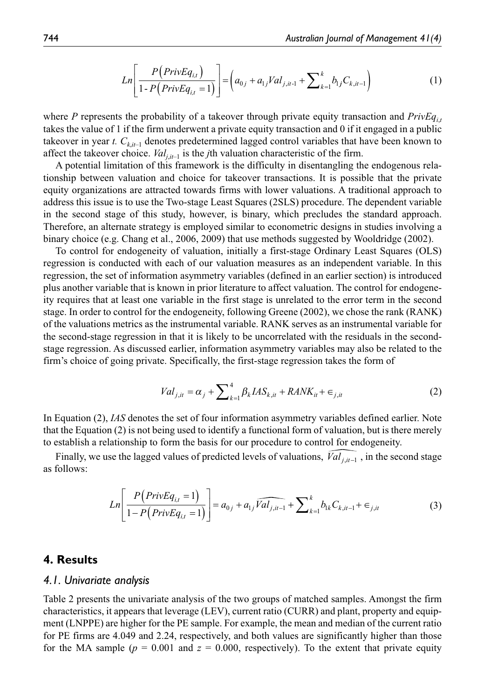$$
Ln\left[\frac{P\left(PrivEq_{i,t}\right)}{1-P\left(PrivEq_{i,t}=1\right)}\right] = \left(a_{0j} + a_{1j}Val_{j,i-1} + \sum\nolimits_{k=1}^{k} b_{1j}C_{k,i-1}\right) \tag{1}
$$

where *P* represents the probability of a takeover through private equity transaction and  $PrivEq_i$ takes the value of 1 if the firm underwent a private equity transaction and 0 if it engaged in a public takeover in year *t.*  $C_{kit-1}$  denotes predetermined lagged control variables that have been known to affect the takeover choice.  $Val_{i,i-1}$  is the *j*th valuation characteristic of the firm.

A potential limitation of this framework is the difficulty in disentangling the endogenous relationship between valuation and choice for takeover transactions. It is possible that the private equity organizations are attracted towards firms with lower valuations. A traditional approach to address this issue is to use the Two-stage Least Squares (2SLS) procedure. The dependent variable in the second stage of this study, however, is binary, which precludes the standard approach. Therefore, an alternate strategy is employed similar to econometric designs in studies involving a binary choice (e.g. Chang et al., 2006, 2009) that use methods suggested by Wooldridge (2002).

To control for endogeneity of valuation, initially a first-stage Ordinary Least Squares (OLS) regression is conducted with each of our valuation measures as an independent variable. In this regression, the set of information asymmetry variables (defined in an earlier section) is introduced plus another variable that is known in prior literature to affect valuation. The control for endogeneity requires that at least one variable in the first stage is unrelated to the error term in the second stage. In order to control for the endogeneity, following Greene (2002), we chose the rank (RANK) of the valuations metrics as the instrumental variable. RANK serves as an instrumental variable for the second-stage regression in that it is likely to be uncorrelated with the residuals in the secondstage regression. As discussed earlier, information asymmetry variables may also be related to the firm's choice of going private. Specifically, the first-stage regression takes the form of

$$
Val_{j,it} = \alpha_j + \sum_{k=1}^{4} \beta_k IAS_{k,it} + RANK_{it} + \epsilon_{j,it}
$$
 (2)

In Equation (2), *IAS* denotes the set of four information asymmetry variables defined earlier. Note that the Equation (2) is not being used to identify a functional form of valuation, but is there merely to establish a relationship to form the basis for our procedure to control for endogeneity.

Finally, we use the lagged values of predicted levels of valuations, *Valj i*, *<sup>t</sup>*−<sup>1</sup> , in the second stage as follows:

$$
Ln\left[\frac{P\left(PrivEq_{i,t} = 1\right)}{1 - P\left(PrivEq_{i,t} = 1\right)}\right] = a_{0j} + a_{1j}\widehat{Val_{j,it-1}} + \sum\nolimits_{k=1}^{k} b_{1k}C_{k,it-1} + \epsilon_{j,it}
$$
\n(3)

#### **4. Results**

#### *4.1. Univariate analysis*

Table 2 presents the univariate analysis of the two groups of matched samples. Amongst the firm characteristics, it appears that leverage (LEV), current ratio (CURR) and plant, property and equipment (LNPPE) are higher for the PE sample. For example, the mean and median of the current ratio for PE firms are 4.049 and 2.24, respectively, and both values are significantly higher than those for the MA sample  $(p = 0.001$  and  $z = 0.000$ , respectively). To the extent that private equity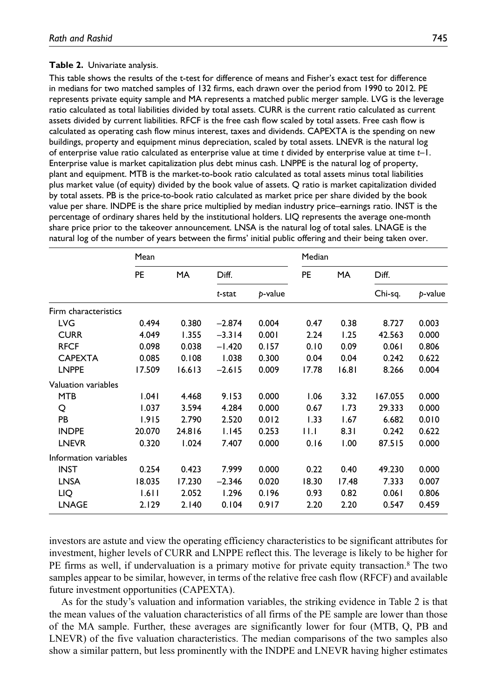#### **Table 2.** Univariate analysis.

This table shows the results of the t-test for difference of means and Fisher's exact test for difference in medians for two matched samples of 132 firms, each drawn over the period from 1990 to 2012. PE represents private equity sample and MA represents a matched public merger sample. LVG is the leverage ratio calculated as total liabilities divided by total assets. CURR is the current ratio calculated as current assets divided by current liabilities. RFCF is the free cash flow scaled by total assets. Free cash flow is calculated as operating cash flow minus interest, taxes and dividends. CAPEXTA is the spending on new buildings, property and equipment minus depreciation, scaled by total assets. LNEVR is the natural log of enterprise value ratio calculated as enterprise value at time *t* divided by enterprise value at time *t*–1. Enterprise value is market capitalization plus debt minus cash. LNPPE is the natural log of property, plant and equipment. MTB is the market-to-book ratio calculated as total assets minus total liabilities plus market value (of equity) divided by the book value of assets. Q ratio is market capitalization divided by total assets. PB is the price-to-book ratio calculated as market price per share divided by the book value per share. INDPE is the share price multiplied by median industry price–earnings ratio. INST is the percentage of ordinary shares held by the institutional holders. LIQ represents the average one-month share price prior to the takeover announcement. LNSA is the natural log of total sales. LNAGE is the natural log of the number of years between the firms' initial public offering and their being taken over.

|                       | Mean      |        |          |         | Median    |       |         |         |
|-----------------------|-----------|--------|----------|---------|-----------|-------|---------|---------|
|                       | <b>PE</b> | MA     | Diff.    |         | <b>PE</b> | MA    | Diff.   |         |
|                       |           |        | t-stat   | p-value |           |       | Chi-sq. | p-value |
| Firm characteristics  |           |        |          |         |           |       |         |         |
| LVG                   | 0.494     | 0.380  | $-2.874$ | 0.004   | 0.47      | 0.38  | 8.727   | 0.003   |
| <b>CURR</b>           | 4.049     | 1.355  | $-3.314$ | 0.001   | 2.24      | 1.25  | 42.563  | 0.000   |
| <b>RFCF</b>           | 0.098     | 0.038  | $-1.420$ | 0.157   | 0.10      | 0.09  | 0.061   | 0.806   |
| <b>CAPEXTA</b>        | 0.085     | 0.108  | 1.038    | 0.300   | 0.04      | 0.04  | 0.242   | 0.622   |
| <b>LNPPE</b>          | 17.509    | 16.613 | $-2.615$ | 0.009   | 17.78     | 16.81 | 8.266   | 0.004   |
| Valuation variables   |           |        |          |         |           |       |         |         |
| <b>MTB</b>            | 1.041     | 4.468  | 9.153    | 0.000   | 1.06      | 3.32  | 167.055 | 0.000   |
| Q                     | 1.037     | 3.594  | 4.284    | 0.000   | 0.67      | 1.73  | 29.333  | 0.000   |
| <b>PB</b>             | 1.915     | 2.790  | 2.520    | 0.012   | 1.33      | 1.67  | 6.682   | 0.010   |
| <b>INDPE</b>          | 20.070    | 24.816 | 1.145    | 0.253   | H.I       | 8.31  | 0.242   | 0.622   |
| <b>LNEVR</b>          | 0.320     | 1.024  | 7.407    | 0.000   | 0.16      | 1.00  | 87.515  | 0.000   |
| Information variables |           |        |          |         |           |       |         |         |
| <b>INST</b>           | 0.254     | 0.423  | 7.999    | 0.000   | 0.22      | 0.40  | 49.230  | 0.000   |
| <b>LNSA</b>           | 18.035    | 17.230 | $-2.346$ | 0.020   | 18.30     | 17.48 | 7.333   | 0.007   |
| LIO.                  | 1.611     | 2.052  | 1.296    | 0.196   | 0.93      | 0.82  | 0.061   | 0.806   |
| <b>LNAGE</b>          | 2.129     | 2.140  | 0.104    | 0.917   | 2.20      | 2.20  | 0.547   | 0.459   |

investors are astute and view the operating efficiency characteristics to be significant attributes for investment, higher levels of CURR and LNPPE reflect this. The leverage is likely to be higher for PE firms as well, if undervaluation is a primary motive for private equity transaction.8 The two samples appear to be similar, however, in terms of the relative free cash flow (RFCF) and available future investment opportunities (CAPEXTA).

As for the study's valuation and information variables, the striking evidence in Table 2 is that the mean values of the valuation characteristics of all firms of the PE sample are lower than those of the MA sample. Further, these averages are significantly lower for four (MTB, Q, PB and LNEVR) of the five valuation characteristics. The median comparisons of the two samples also show a similar pattern, but less prominently with the INDPE and LNEVR having higher estimates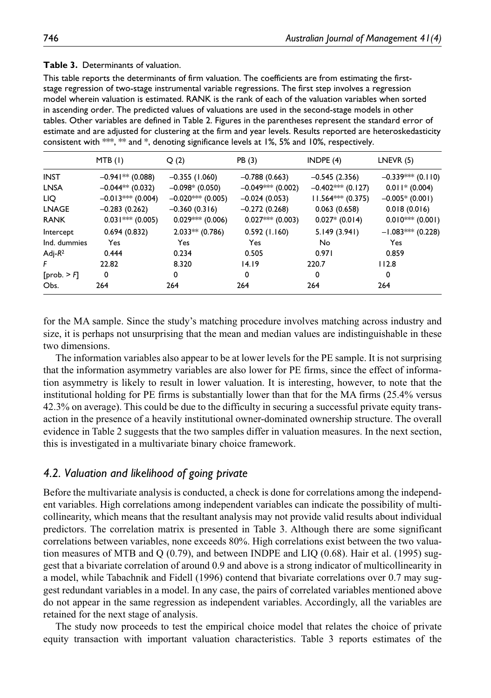#### **Table 3.** Determinants of valuation.

This table reports the determinants of firm valuation. The coefficients are from estimating the firststage regression of two-stage instrumental variable regressions. The first step involves a regression model wherein valuation is estimated. RANK is the rank of each of the valuation variables when sorted in ascending order. The predicted values of valuations are used in the second-stage models in other tables. Other variables are defined in Table 2. Figures in the parentheses represent the standard error of estimate and are adjusted for clustering at the firm and year levels. Results reported are heteroskedasticity consistent with \*\*\*, \*\* and \*, denoting significance levels at 1%, 5% and 10%, respectively.

|              | $MTB$ (1)           | Q(2)                 | PB (3)              | INDPE $(4)$         | LNEVR $(5)$         |
|--------------|---------------------|----------------------|---------------------|---------------------|---------------------|
| <b>INST</b>  | $-0.941**$ (0.088)  | $-0.355$ (1.060)     | $-0.788(0.663)$     | $-0.545(2.356)$     | $-0.339***$ (0.110) |
| LNSA         | $-0.044**$ (0.032)  | $-0.098*$ (0.050)    | $-0.049***$ (0.002) | $-0.402***$ (0.127) | $0.011* (0.004)$    |
| LIQ.         | $-0.013***$ (0.004) | $-0.020$ *** (0.005) | $-0.024(0.053)$     | $11.564*** (0.375)$ | $-0.005*$ (0.001)   |
| <b>LNAGE</b> | $-0.283(0.262)$     | $-0.360(0.316)$      | $-0.272(0.268)$     | 0.063(0.658)        | 0.018(0.016)        |
| <b>RANK</b>  | $0.031***(0.005)$   | $0.029***(0.006)$    | $0.027$ ** (0.003)  | $0.027* (0.014)$    | $0.010***(0.001)$   |
| Intercept    | 0.694(0.832)        | $2.033** (0.786)$    | 0.592(1.160)        | 5.149(3.941)        | $-1.083***(0.228)$  |
| Ind. dummies | <b>Yes</b>          | <b>Yes</b>           | Yes.                | No                  | Yes                 |
| Adj- $R^2$   | 0.444               | 0.234                | 0.505               | 0.971               | 0.859               |
| F            | 22.82               | 8.320                | 14.19               | 220.7               | 112.8               |
| [prob. > F]  | $\Omega$            | $\Omega$             | 0                   | 0                   | 0                   |
| Obs.         | 264                 | 264                  | 264                 | 264                 | 264                 |

for the MA sample. Since the study's matching procedure involves matching across industry and size, it is perhaps not unsurprising that the mean and median values are indistinguishable in these two dimensions.

The information variables also appear to be at lower levels for the PE sample. It is not surprising that the information asymmetry variables are also lower for PE firms, since the effect of information asymmetry is likely to result in lower valuation. It is interesting, however, to note that the institutional holding for PE firms is substantially lower than that for the MA firms (25.4% versus 42.3% on average). This could be due to the difficulty in securing a successful private equity transaction in the presence of a heavily institutional owner-dominated ownership structure. The overall evidence in Table 2 suggests that the two samples differ in valuation measures. In the next section, this is investigated in a multivariate binary choice framework.

## *4.2. Valuation and likelihood of going private*

Before the multivariate analysis is conducted, a check is done for correlations among the independent variables. High correlations among independent variables can indicate the possibility of multicollinearity, which means that the resultant analysis may not provide valid results about individual predictors. The correlation matrix is presented in Table 3. Although there are some significant correlations between variables, none exceeds 80%. High correlations exist between the two valuation measures of MTB and Q (0.79), and between INDPE and LIQ (0.68). Hair et al. (1995) suggest that a bivariate correlation of around 0.9 and above is a strong indicator of multicollinearity in a model, while Tabachnik and Fidell (1996) contend that bivariate correlations over 0.7 may suggest redundant variables in a model. In any case, the pairs of correlated variables mentioned above do not appear in the same regression as independent variables. Accordingly, all the variables are retained for the next stage of analysis.

The study now proceeds to test the empirical choice model that relates the choice of private equity transaction with important valuation characteristics. Table 3 reports estimates of the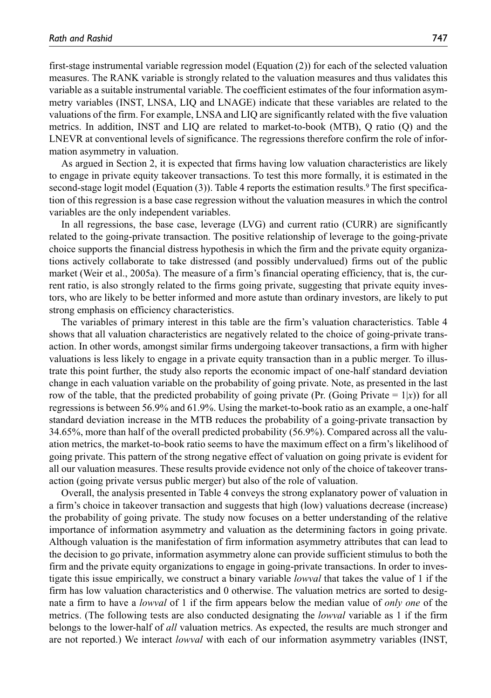first-stage instrumental variable regression model (Equation (2)) for each of the selected valuation measures. The RANK variable is strongly related to the valuation measures and thus validates this variable as a suitable instrumental variable. The coefficient estimates of the four information asymmetry variables (INST, LNSA, LIQ and LNAGE) indicate that these variables are related to the valuations of the firm. For example, LNSA and LIQ are significantly related with the five valuation metrics. In addition, INST and LIQ are related to market-to-book (MTB), Q ratio (Q) and the LNEVR at conventional levels of significance. The regressions therefore confirm the role of information asymmetry in valuation.

As argued in Section 2, it is expected that firms having low valuation characteristics are likely to engage in private equity takeover transactions. To test this more formally, it is estimated in the second-stage logit model (Equation  $(3)$ ). Table 4 reports the estimation results.<sup>9</sup> The first specification of this regression is a base case regression without the valuation measures in which the control variables are the only independent variables.

In all regressions, the base case, leverage (LVG) and current ratio (CURR) are significantly related to the going-private transaction. The positive relationship of leverage to the going-private choice supports the financial distress hypothesis in which the firm and the private equity organizations actively collaborate to take distressed (and possibly undervalued) firms out of the public market (Weir et al., 2005a). The measure of a firm's financial operating efficiency, that is, the current ratio, is also strongly related to the firms going private, suggesting that private equity investors, who are likely to be better informed and more astute than ordinary investors, are likely to put strong emphasis on efficiency characteristics.

The variables of primary interest in this table are the firm's valuation characteristics. Table 4 shows that all valuation characteristics are negatively related to the choice of going-private transaction. In other words, amongst similar firms undergoing takeover transactions, a firm with higher valuations is less likely to engage in a private equity transaction than in a public merger. To illustrate this point further, the study also reports the economic impact of one-half standard deviation change in each valuation variable on the probability of going private. Note, as presented in the last row of the table, that the predicted probability of going private (Pr. (Going Private  $= 1|x$ )) for all regressions is between 56.9% and 61.9%. Using the market-to-book ratio as an example, a one-half standard deviation increase in the MTB reduces the probability of a going-private transaction by 34.65%, more than half of the overall predicted probability (56.9%). Compared across all the valuation metrics, the market-to-book ratio seems to have the maximum effect on a firm's likelihood of going private. This pattern of the strong negative effect of valuation on going private is evident for all our valuation measures. These results provide evidence not only of the choice of takeover transaction (going private versus public merger) but also of the role of valuation.

Overall, the analysis presented in Table 4 conveys the strong explanatory power of valuation in a firm's choice in takeover transaction and suggests that high (low) valuations decrease (increase) the probability of going private. The study now focuses on a better understanding of the relative importance of information asymmetry and valuation as the determining factors in going private. Although valuation is the manifestation of firm information asymmetry attributes that can lead to the decision to go private, information asymmetry alone can provide sufficient stimulus to both the firm and the private equity organizations to engage in going-private transactions. In order to investigate this issue empirically, we construct a binary variable *lowval* that takes the value of 1 if the firm has low valuation characteristics and 0 otherwise. The valuation metrics are sorted to designate a firm to have a *lowval* of 1 if the firm appears below the median value of *only one* of the metrics. (The following tests are also conducted designating the *lowval* variable as 1 if the firm belongs to the lower-half of *all* valuation metrics. As expected, the results are much stronger and are not reported.) We interact *lowval* with each of our information asymmetry variables (INST,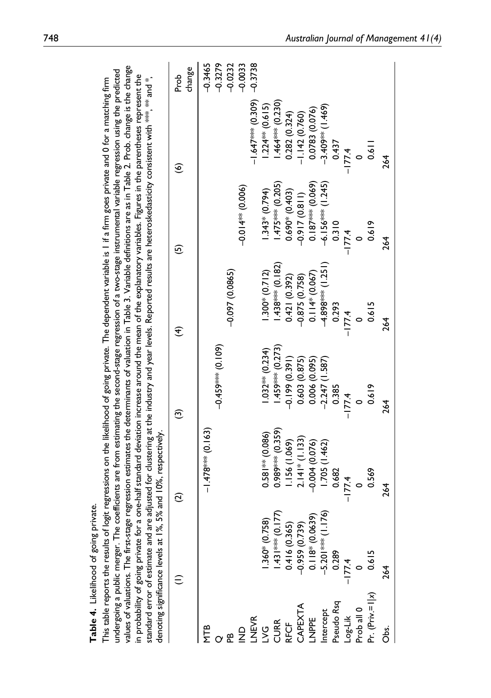|                                          | denoting significance levels at 1%, 5% and 10%, respectively.<br>Table 4. Likelihood of going private. |                     |                     |                        |                       | undergoing a public merger. The coefficients are from estimating the second-stage regression of a two-stage instrumental variable regression using the predicted<br>values of valuations. The first-stage regression estimates th<br>in probability of going private for a one-half standard deviation increase around the mean of the explanatory variables. Figures in the parentheses represent the<br>standard error of estimate and are adjusted for clustering at the industry and year levels. Reported results are heteroskedasticity consistent with *** and *,<br>This table reports the results of logit regressions on the likelihood of going private. The dependent variable is 1 if a firm goes private and 0 for a matching firm |                |
|------------------------------------------|--------------------------------------------------------------------------------------------------------|---------------------|---------------------|------------------------|-----------------------|--------------------------------------------------------------------------------------------------------------------------------------------------------------------------------------------------------------------------------------------------------------------------------------------------------------------------------------------------------------------------------------------------------------------------------------------------------------------------------------------------------------------------------------------------------------------------------------------------------------------------------------------------------------------------------------------------------------------------------------------------|----------------|
|                                          |                                                                                                        | $\widehat{\alpha}$  | ම                   | $\widehat{\mathbf{f}}$ | ⊕                     | $\widehat{\bullet}$                                                                                                                                                                                                                                                                                                                                                                                                                                                                                                                                                                                                                                                                                                                              | change<br>Prob |
| NTB                                      |                                                                                                        | $-1.478***$ (0.163) |                     |                        |                       |                                                                                                                                                                                                                                                                                                                                                                                                                                                                                                                                                                                                                                                                                                                                                  | $-0.3465$      |
|                                          |                                                                                                        |                     | $-0.459***$ (0.109) |                        |                       |                                                                                                                                                                                                                                                                                                                                                                                                                                                                                                                                                                                                                                                                                                                                                  | $-0.3279$      |
| æ                                        |                                                                                                        |                     |                     | $-0.097(0.0865)$       |                       |                                                                                                                                                                                                                                                                                                                                                                                                                                                                                                                                                                                                                                                                                                                                                  | $-0.0232$      |
|                                          |                                                                                                        |                     |                     |                        | $-0.01$ <sup>**</sup> |                                                                                                                                                                                                                                                                                                                                                                                                                                                                                                                                                                                                                                                                                                                                                  | $-0.0033$      |
| <b>MEXE<br/>A S O R C<br/>A S O R EC</b> |                                                                                                        |                     |                     |                        |                       | $-1.647***$ (0.309)                                                                                                                                                                                                                                                                                                                                                                                                                                                                                                                                                                                                                                                                                                                              | $-0.3738$      |
|                                          | $1.360* (0.758)$                                                                                       | $0.581**$ (0.086)   | $1.032***$ (0.234)  | $1.300* (0.712)$       | $1.343*(0.794)$       | $1.224**$ (0.615)                                                                                                                                                                                                                                                                                                                                                                                                                                                                                                                                                                                                                                                                                                                                |                |
|                                          | $1.431***$ (0.17                                                                                       | $0.989***$ (0.359)  | $1.459*** (0.273)$  | $1.438***$ (0.182)     | $1.475*** (0.205)$    | $1.464*** (0.230)$                                                                                                                                                                                                                                                                                                                                                                                                                                                                                                                                                                                                                                                                                                                               |                |
|                                          | 0.416 (0.365)<br>-0.959 (0.739)                                                                        | 1.156 (1.069)       | $-0.199(0.391)$     | 0.421 (0.392)          | $0.690* (0.403)$      | 0.282(0.324)                                                                                                                                                                                                                                                                                                                                                                                                                                                                                                                                                                                                                                                                                                                                     |                |
| CAPEXTA                                  |                                                                                                        | $2.141*(1.133)$     | 0.603(0.875)        | $-0.875(0.758)$        | $-0.917(0.811)$       | $-1.142(0.760)$                                                                                                                                                                                                                                                                                                                                                                                                                                                                                                                                                                                                                                                                                                                                  |                |
| LNPPE                                    | $0.118*(0.0639)$                                                                                       | $-0.004(0.076)$     | 0.006 (0.095)       | $0.114*(0.067)$        | $0.187***$ (0.069)    | 0.0783 (0.076)                                                                                                                                                                                                                                                                                                                                                                                                                                                                                                                                                                                                                                                                                                                                   |                |
| Intercept                                | $-5.201***$ (1.17)                                                                                     | 1.705 (1.462)       | $-2.247(1.587)$     | $-4.898***$ (1.251)    | $-6.156***$ (1.245)   | $-3.409*1.469$                                                                                                                                                                                                                                                                                                                                                                                                                                                                                                                                                                                                                                                                                                                                   |                |
| Pseudo Rsq                               | 0.289                                                                                                  | 0.682               | 0.385               | 0.293                  | 0.310                 | 0.437                                                                                                                                                                                                                                                                                                                                                                                                                                                                                                                                                                                                                                                                                                                                            |                |
| <b>H<sub>P</sub>S-TIK</b>                | $-177.4$                                                                                               | $-177.4$            | $-177.4$            | $-177.4$               | $-177.4$              | $-177.4$                                                                                                                                                                                                                                                                                                                                                                                                                                                                                                                                                                                                                                                                                                                                         |                |
| Prob all 0                               |                                                                                                        |                     |                     |                        |                       |                                                                                                                                                                                                                                                                                                                                                                                                                                                                                                                                                                                                                                                                                                                                                  |                |
| Pr. $(Priv=1 x)$                         | 0.615                                                                                                  | 0.569               | 0.619               | 0.615                  | 0.619                 | 0.611                                                                                                                                                                                                                                                                                                                                                                                                                                                                                                                                                                                                                                                                                                                                            |                |
| obs.                                     | 264                                                                                                    | 264                 | 264                 | 264                    | 264                   | 264                                                                                                                                                                                                                                                                                                                                                                                                                                                                                                                                                                                                                                                                                                                                              |                |
|                                          |                                                                                                        |                     |                     |                        |                       |                                                                                                                                                                                                                                                                                                                                                                                                                                                                                                                                                                                                                                                                                                                                                  |                |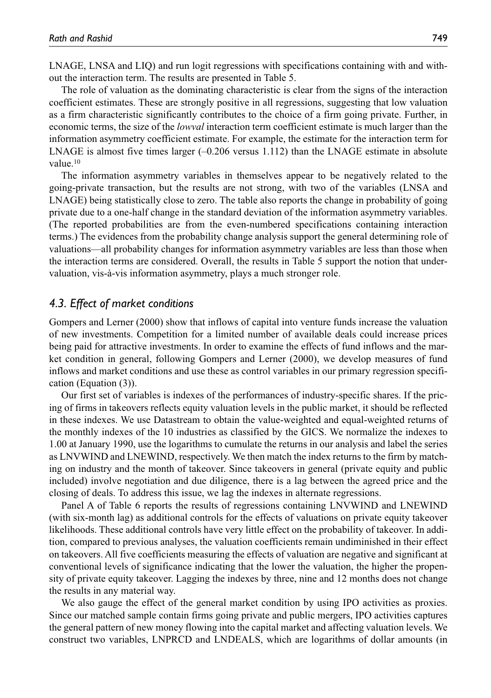LNAGE, LNSA and LIQ) and run logit regressions with specifications containing with and without the interaction term. The results are presented in Table 5.

The role of valuation as the dominating characteristic is clear from the signs of the interaction coefficient estimates. These are strongly positive in all regressions, suggesting that low valuation as a firm characteristic significantly contributes to the choice of a firm going private. Further, in economic terms, the size of the *lowval* interaction term coefficient estimate is much larger than the information asymmetry coefficient estimate. For example, the estimate for the interaction term for LNAGE is almost five times larger  $(-0.206$  versus 1.112) than the LNAGE estimate in absolute value.10

The information asymmetry variables in themselves appear to be negatively related to the going-private transaction, but the results are not strong, with two of the variables (LNSA and LNAGE) being statistically close to zero. The table also reports the change in probability of going private due to a one-half change in the standard deviation of the information asymmetry variables. (The reported probabilities are from the even-numbered specifications containing interaction terms.) The evidences from the probability change analysis support the general determining role of valuations—all probability changes for information asymmetry variables are less than those when the interaction terms are considered. Overall, the results in Table 5 support the notion that undervaluation, vis-à-vis information asymmetry, plays a much stronger role.

#### *4.3. Effect of market conditions*

Gompers and Lerner (2000) show that inflows of capital into venture funds increase the valuation of new investments. Competition for a limited number of available deals could increase prices being paid for attractive investments. In order to examine the effects of fund inflows and the market condition in general, following Gompers and Lerner (2000), we develop measures of fund inflows and market conditions and use these as control variables in our primary regression specification (Equation (3)).

Our first set of variables is indexes of the performances of industry-specific shares. If the pricing of firms in takeovers reflects equity valuation levels in the public market, it should be reflected in these indexes. We use Datastream to obtain the value-weighted and equal-weighted returns of the monthly indexes of the 10 industries as classified by the GICS. We normalize the indexes to 1.00 at January 1990, use the logarithms to cumulate the returns in our analysis and label the series as LNVWIND and LNEWIND, respectively. We then match the index returns to the firm by matching on industry and the month of takeover. Since takeovers in general (private equity and public included) involve negotiation and due diligence, there is a lag between the agreed price and the closing of deals. To address this issue, we lag the indexes in alternate regressions.

Panel A of Table 6 reports the results of regressions containing LNVWIND and LNEWIND (with six-month lag) as additional controls for the effects of valuations on private equity takeover likelihoods. These additional controls have very little effect on the probability of takeover. In addition, compared to previous analyses, the valuation coefficients remain undiminished in their effect on takeovers. All five coefficients measuring the effects of valuation are negative and significant at conventional levels of significance indicating that the lower the valuation, the higher the propensity of private equity takeover. Lagging the indexes by three, nine and 12 months does not change the results in any material way.

We also gauge the effect of the general market condition by using IPO activities as proxies. Since our matched sample contain firms going private and public mergers, IPO activities captures the general pattern of new money flowing into the capital market and affecting valuation levels. We construct two variables, LNPRCD and LNDEALS, which are logarithms of dollar amounts (in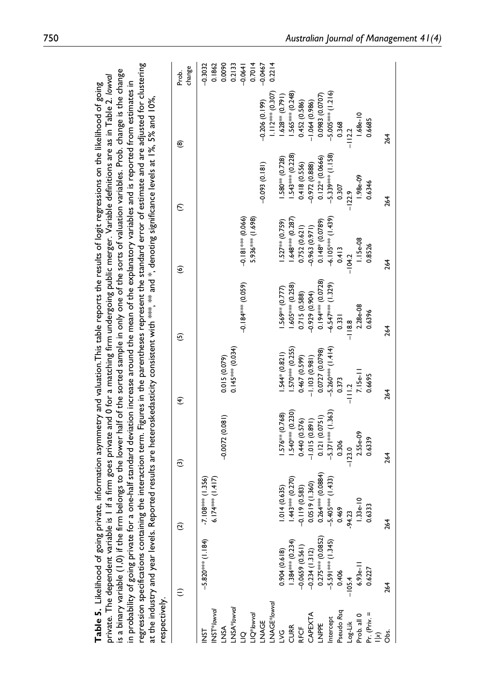| respectively.                |                                                           |                                                                   | regression specifications containing the interaction term. Figures in the parentheses represent the standard error of estimate and are adjusted for clustering<br>belongs to the lower half of the sorted sample in only one of the sorts of valuation variables. Prob. change is the change<br>private. The dependent variable is 1 if a firm goes private and 0 for a matching firm undergoing public merger. Variable definitions are as in Table 2. Iowval<br>is a binary variable (1,0) if the firm belongs to the lower half of the sorted sample in only one of the sorts of valuation variables. Prob. change is the chan<br>in probability of going private for a one-half standard deviat<br>Table 5. Likelihood of going private, information asymmetry and valuation.This table reports the results of logit regressions on the likelihood of going<br>at the industry and year levels. Reported results are heteroskedasticity consistent with ***, *** and *, denoting significance levels at 1%, 5% and 10%, |                     |                     |                                          |                     |                     |                     |
|------------------------------|-----------------------------------------------------------|-------------------------------------------------------------------|-----------------------------------------------------------------------------------------------------------------------------------------------------------------------------------------------------------------------------------------------------------------------------------------------------------------------------------------------------------------------------------------------------------------------------------------------------------------------------------------------------------------------------------------------------------------------------------------------------------------------------------------------------------------------------------------------------------------------------------------------------------------------------------------------------------------------------------------------------------------------------------------------------------------------------------------------------------------------------------------------------------------------------|---------------------|---------------------|------------------------------------------|---------------------|---------------------|---------------------|
|                              | $\widehat{=}$                                             | $\widehat{c}$                                                     | ම                                                                                                                                                                                                                                                                                                                                                                                                                                                                                                                                                                                                                                                                                                                                                                                                                                                                                                                                                                                                                           | E                   | $\widehat{5}$       | $\widehat{\mathbf{e}}$                   | $\epsilon$          | ම                   | change<br>Prob.     |
| INST*lowal<br><b>NST</b>     | $-5.820***$ (1.184)                                       | $6.174***$ (1.417)<br>$-7.108***$ (1.356)                         |                                                                                                                                                                                                                                                                                                                                                                                                                                                                                                                                                                                                                                                                                                                                                                                                                                                                                                                                                                                                                             |                     |                     |                                          |                     |                     | $-0.3032$<br>0.1862 |
| LNSA                         |                                                           |                                                                   | $-0.0072(0.081)$                                                                                                                                                                                                                                                                                                                                                                                                                                                                                                                                                                                                                                                                                                                                                                                                                                                                                                                                                                                                            | 0.015 (0.079)       |                     |                                          |                     |                     | 0.0090              |
| LNSA*lowval                  |                                                           |                                                                   |                                                                                                                                                                                                                                                                                                                                                                                                                                                                                                                                                                                                                                                                                                                                                                                                                                                                                                                                                                                                                             | $0.145***$ (0.034)  |                     |                                          |                     |                     | 0.2133              |
| LIQ*lowal<br>$\vec{q}$       |                                                           |                                                                   |                                                                                                                                                                                                                                                                                                                                                                                                                                                                                                                                                                                                                                                                                                                                                                                                                                                                                                                                                                                                                             |                     | $-0.184*** (0.059)$ | $-0.181*** (0.066)$<br>5.936**** (1.698) |                     |                     | 0.7014<br>$-0.0641$ |
|                              |                                                           |                                                                   |                                                                                                                                                                                                                                                                                                                                                                                                                                                                                                                                                                                                                                                                                                                                                                                                                                                                                                                                                                                                                             |                     |                     |                                          | $-0.093(0.181)$     | $-0.206(0.199)$     | $-0.0467$           |
| <b>LNAGE</b><br>LNAGE*lowal  |                                                           |                                                                   |                                                                                                                                                                                                                                                                                                                                                                                                                                                                                                                                                                                                                                                                                                                                                                                                                                                                                                                                                                                                                             |                     |                     |                                          |                     | $1.112*** (0.307)$  | 0.2214              |
| LVG                          | 0.904(0.618)                                              | 1.014(0.635)                                                      | $1.576** (0.768)$                                                                                                                                                                                                                                                                                                                                                                                                                                                                                                                                                                                                                                                                                                                                                                                                                                                                                                                                                                                                           | $1.544*(0.821)$     | $1.569** (0.777)$   | $1.527***$ (0.759)                       | $1.580*** (0.728)$  | $1.628**$ (0.791)   |                     |
| CURR                         | $.384*** (0.234)$                                         | 1.443**** (0.270)                                                 | $1.540***$ (0.230)                                                                                                                                                                                                                                                                                                                                                                                                                                                                                                                                                                                                                                                                                                                                                                                                                                                                                                                                                                                                          | $1.570***$ (0.255)  | $1.605*** (0.258)$  | $1.648*** (0.287)$                       | $1.543*** (0.228)$  | $1.565***(0.248)$   |                     |
| <b>RFCF</b>                  | $-0.0659(0.561)$                                          | 19 (0.583)<br>$\bar{\vec{\mathsf{q}}}$                            | 0.440(0.576)                                                                                                                                                                                                                                                                                                                                                                                                                                                                                                                                                                                                                                                                                                                                                                                                                                                                                                                                                                                                                | 0.467(0.599)        | 0.715 (0.588)       | 0.752(0.621)                             | 0.418(0.556)        | 0.452(0.586)        |                     |
| CAPEXTA                      | $-0.234(1.312)$<br>0.275*** (0.0852)<br>-5.591*** (1.345) | 0.0519 (1.360)<br>0.264*** (0.0884)<br>-5.405*** (1.433)<br>0.469 | $-1.015(0.891)$                                                                                                                                                                                                                                                                                                                                                                                                                                                                                                                                                                                                                                                                                                                                                                                                                                                                                                                                                                                                             | $-1.103(0.981)$     | $-0.929(0.904)$     | $-0.963(0.971)$                          | $-0.972(0.888)$     | $-1.064(0.986)$     |                     |
| LNPFE                        |                                                           |                                                                   | 0.121(0.0751)                                                                                                                                                                                                                                                                                                                                                                                                                                                                                                                                                                                                                                                                                                                                                                                                                                                                                                                                                                                                               | 0.0727 (0.0798)     | $0.194*** (0.0728)$ | $0.148*(0.0789)$                         | $0.122*(0.0666)$    | 0.0983 (0.0707)     |                     |
| Intercept                    |                                                           |                                                                   | $-5.371***$ (1.363)                                                                                                                                                                                                                                                                                                                                                                                                                                                                                                                                                                                                                                                                                                                                                                                                                                                                                                                                                                                                         | $-5.260***$ (1.414) | $-6.547***$ (1.329) | $-6.105***$ (1.439)                      | $-5.339***$ (1.158) | $-5.005***$ (1.216) |                     |
| Pseudo Rsq                   | 0.406                                                     |                                                                   | 0.306                                                                                                                                                                                                                                                                                                                                                                                                                                                                                                                                                                                                                                                                                                                                                                                                                                                                                                                                                                                                                       | 0.373               | 0.331               | 0.413                                    | 0.307               | 0.368               |                     |
| Log-Lik                      | $-105.4$                                                  | $-94.23$                                                          | $-123.0$                                                                                                                                                                                                                                                                                                                                                                                                                                                                                                                                                                                                                                                                                                                                                                                                                                                                                                                                                                                                                    | $-111.2$            | $-118.8$            | $-104.2$                                 | $-122.9$            | $-112.2$            |                     |
| Prob. all 0                  | $6.93e-11$                                                | $1.33e-10$<br>$0.6333$                                            | 2.55e-09                                                                                                                                                                                                                                                                                                                                                                                                                                                                                                                                                                                                                                                                                                                                                                                                                                                                                                                                                                                                                    | $7.15e-11$          | 2.28e-08            | I.I5e-08                                 | I.98e-09            | $1.68e-10$          |                     |
| Pr. (Priv. =<br>  x)<br>Obs. | 0.6227                                                    |                                                                   | 0.6339                                                                                                                                                                                                                                                                                                                                                                                                                                                                                                                                                                                                                                                                                                                                                                                                                                                                                                                                                                                                                      | 0.6695              | 0.6396              | 0.8526                                   | 0.6346              | 0.6685              |                     |
|                              | 264                                                       | 264                                                               | 264                                                                                                                                                                                                                                                                                                                                                                                                                                                                                                                                                                                                                                                                                                                                                                                                                                                                                                                                                                                                                         | 264                 | 264                 | 264                                      | 264                 | 264                 |                     |

| 264                                                         | 264    | 264                 | 264                                       |     |
|-------------------------------------------------------------|--------|---------------------|-------------------------------------------|-----|
|                                                             | 0.6695 | 0.6339              | 0.6333                                    |     |
| $7.15e-11$                                                  |        | 2.55e-09            | $1.33e-10$                                |     |
| 18.8                                                        | 111.2  | 123.0               | 94.23                                     |     |
|                                                             | 0.373  | 0.306               | 0.469                                     |     |
| $-5.260***$ (1.414)                                         |        | $-5.371***$ (1.363) |                                           | ົດ  |
| $0.194*** (0.0728)$<br>-6.547*** (1.329)<br>0.0727 (0.0798) |        | 0.121(0.0751)       | $0.264*** (0.0884)$<br>-5.405*** (1.433)  | 52) |
| $-1.103(0.981)$                                             |        | $-1.015(0.891)$     | 0.0519 (1.360)                            |     |
| 0.467 (0.599)                                               |        | 0.440(0.576)        | $-0.119(0.583)$                           |     |
| $.570*** (0.255)$                                           |        | $.540***$ (0.230)   | $1.443***$ (0.270)                        |     |
| 544* (0.821)                                                |        | .576** (0.768)      | .014(0.635)                               |     |
|                                                             |        |                     |                                           |     |
|                                                             |        |                     |                                           |     |
|                                                             |        |                     |                                           |     |
|                                                             |        |                     |                                           |     |
| $0.145*** (0.034)$<br>0.015 (0.079)                         |        | $-0.0072(0.081)$    |                                           |     |
|                                                             |        |                     | $6.174***$ (1.417)<br>$-7.108***$ (1.356) | ډ   |
|                                                             |        |                     |                                           |     |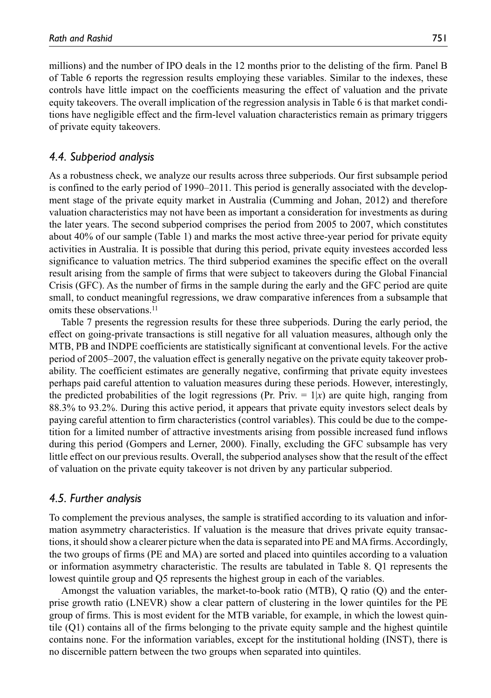millions) and the number of IPO deals in the 12 months prior to the delisting of the firm. Panel B of Table 6 reports the regression results employing these variables. Similar to the indexes, these controls have little impact on the coefficients measuring the effect of valuation and the private equity takeovers. The overall implication of the regression analysis in Table 6 is that market conditions have negligible effect and the firm-level valuation characteristics remain as primary triggers of private equity takeovers.

### *4.4. Subperiod analysis*

As a robustness check, we analyze our results across three subperiods. Our first subsample period is confined to the early period of 1990–2011. This period is generally associated with the development stage of the private equity market in Australia (Cumming and Johan, 2012) and therefore valuation characteristics may not have been as important a consideration for investments as during the later years. The second subperiod comprises the period from 2005 to 2007, which constitutes about 40% of our sample (Table 1) and marks the most active three-year period for private equity activities in Australia. It is possible that during this period, private equity investees accorded less significance to valuation metrics. The third subperiod examines the specific effect on the overall result arising from the sample of firms that were subject to takeovers during the Global Financial Crisis (GFC). As the number of firms in the sample during the early and the GFC period are quite small, to conduct meaningful regressions, we draw comparative inferences from a subsample that omits these observations.11

Table 7 presents the regression results for these three subperiods. During the early period, the effect on going-private transactions is still negative for all valuation measures, although only the MTB, PB and INDPE coefficients are statistically significant at conventional levels. For the active period of 2005–2007, the valuation effect is generally negative on the private equity takeover probability. The coefficient estimates are generally negative, confirming that private equity investees perhaps paid careful attention to valuation measures during these periods. However, interestingly, the predicted probabilities of the logit regressions (Pr. Priv.  $= 1/x$ ) are quite high, ranging from 88.3% to 93.2%. During this active period, it appears that private equity investors select deals by paying careful attention to firm characteristics (control variables). This could be due to the competition for a limited number of attractive investments arising from possible increased fund inflows during this period (Gompers and Lerner, 2000). Finally, excluding the GFC subsample has very little effect on our previous results. Overall, the subperiod analyses show that the result of the effect of valuation on the private equity takeover is not driven by any particular subperiod.

#### *4.5. Further analysis*

To complement the previous analyses, the sample is stratified according to its valuation and information asymmetry characteristics. If valuation is the measure that drives private equity transactions, it should show a clearer picture when the data is separated into PE and MA firms. Accordingly, the two groups of firms (PE and MA) are sorted and placed into quintiles according to a valuation or information asymmetry characteristic. The results are tabulated in Table 8. Q1 represents the lowest quintile group and Q5 represents the highest group in each of the variables.

Amongst the valuation variables, the market-to-book ratio (MTB), Q ratio (Q) and the enterprise growth ratio (LNEVR) show a clear pattern of clustering in the lower quintiles for the PE group of firms. This is most evident for the MTB variable, for example, in which the lowest quintile (Q1) contains all of the firms belonging to the private equity sample and the highest quintile contains none. For the information variables, except for the institutional holding (INST), there is no discernible pattern between the two groups when separated into quintiles.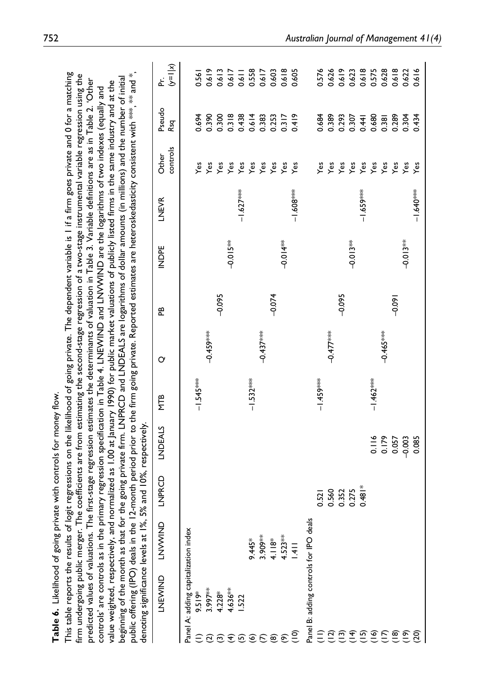|                                                  |                                      | This table reports the results of logit regressions on the likelihood of going private. The dependent variable is 1 if a firm goes private and 0 for a matching<br>firm undergoing public merger. The coefficients are from estimating the second-stage regression of a two-stage instrumental variable regression using the<br>predicted values of valuations. The first-stage regression estimates the determinants of valuation in Table 3. Variable definitions are as in Table 2. 'Other<br>value weighted, respectively, and normalized as 1.00 at January 1990) for public market valuations of publicly listed firms in the same industry and at the<br>controls' are controls as in the primary regression specification in Table 4. LNEWIND and LNVWIND are the logarithms of two indexes (equally and<br>Table 6. Likelihood of going private with controls for money flow. |                          |                                                                                                                                                                                                                                                  |             |                         |           |              |              |                   |                      |                |
|--------------------------------------------------|--------------------------------------|----------------------------------------------------------------------------------------------------------------------------------------------------------------------------------------------------------------------------------------------------------------------------------------------------------------------------------------------------------------------------------------------------------------------------------------------------------------------------------------------------------------------------------------------------------------------------------------------------------------------------------------------------------------------------------------------------------------------------------------------------------------------------------------------------------------------------------------------------------------------------------------|--------------------------|--------------------------------------------------------------------------------------------------------------------------------------------------------------------------------------------------------------------------------------------------|-------------|-------------------------|-----------|--------------|--------------|-------------------|----------------------|----------------|
|                                                  | denoting significance levels at 1%,  | beginning of the month as that for<br>public offering (IPO) deals in the I                                                                                                                                                                                                                                                                                                                                                                                                                                                                                                                                                                                                                                                                                                                                                                                                             | % and 10%, respectively. | 2-month period prior to the firm going private. Reported estimates are heteroskedasticity consistent with ***, *** and *.<br>the going private firm. LNPRCD and LNDEALS are logarithms of dollar amounts (in millions) and the number of initial |             |                         |           |              |              |                   |                      |                |
|                                                  | <b>UNEWIND</b>                       | <b>UNVVIND</b>                                                                                                                                                                                                                                                                                                                                                                                                                                                                                                                                                                                                                                                                                                                                                                                                                                                                         | LNPRCD                   | LNDEALS                                                                                                                                                                                                                                          | <b>MTB</b>  | $\mathsf{\circ}$        | æ         | <b>INDPE</b> | <b>LNEVR</b> | controls<br>Other | Pseudo<br><b>Rsq</b> | $(y=1 x)$<br>غ |
|                                                  | Panel A: adding capitalization index |                                                                                                                                                                                                                                                                                                                                                                                                                                                                                                                                                                                                                                                                                                                                                                                                                                                                                        |                          |                                                                                                                                                                                                                                                  |             |                         |           |              |              |                   |                      |                |
|                                                  | 9.519*                               |                                                                                                                                                                                                                                                                                                                                                                                                                                                                                                                                                                                                                                                                                                                                                                                                                                                                                        |                          |                                                                                                                                                                                                                                                  | $-1.545***$ |                         |           |              |              | Yes               | 0.694                | 0.561          |
| $\mathfrak{D}$                                   | $3.997***$                           |                                                                                                                                                                                                                                                                                                                                                                                                                                                                                                                                                                                                                                                                                                                                                                                                                                                                                        |                          |                                                                                                                                                                                                                                                  |             | $-0.459***$             |           |              |              |                   | 0.390                | 0.619          |
|                                                  | $4.228*$                             |                                                                                                                                                                                                                                                                                                                                                                                                                                                                                                                                                                                                                                                                                                                                                                                                                                                                                        |                          |                                                                                                                                                                                                                                                  |             |                         | $-0.095$  |              |              |                   | 0.300                | 0.613          |
| $\widehat{\mathfrak{G}}\,\widehat{\mathfrak{V}}$ | 4.636**                              |                                                                                                                                                                                                                                                                                                                                                                                                                                                                                                                                                                                                                                                                                                                                                                                                                                                                                        |                          |                                                                                                                                                                                                                                                  |             |                         |           | $-0.015**$   |              | yes<br>Yes<br>Yes | 0.318                | 0.617          |
|                                                  | 522                                  |                                                                                                                                                                                                                                                                                                                                                                                                                                                                                                                                                                                                                                                                                                                                                                                                                                                                                        |                          |                                                                                                                                                                                                                                                  |             |                         |           |              | $-1.627***$  |                   | 0.438                | 0.611          |
| $\circledcirc$                                   |                                      | $9.445*$                                                                                                                                                                                                                                                                                                                                                                                                                                                                                                                                                                                                                                                                                                                                                                                                                                                                               |                          |                                                                                                                                                                                                                                                  | $-1.532***$ |                         |           |              |              | $Y$ es            | 0.614                | 0.558          |
| $\mathcal{E}$                                    |                                      | 3.909**                                                                                                                                                                                                                                                                                                                                                                                                                                                                                                                                                                                                                                                                                                                                                                                                                                                                                |                          |                                                                                                                                                                                                                                                  |             | $-0.437***$             |           |              |              | $Y$ es            | 0.383                | 0.617          |
| $\circledast$                                    |                                      | $4.118*$                                                                                                                                                                                                                                                                                                                                                                                                                                                                                                                                                                                                                                                                                                                                                                                                                                                                               |                          |                                                                                                                                                                                                                                                  |             |                         | $-0.074$  |              |              | Yes               | 0.253                | 0.603          |
| $\widehat{\mathfrak{G}}$                         |                                      | $4.523**$                                                                                                                                                                                                                                                                                                                                                                                                                                                                                                                                                                                                                                                                                                                                                                                                                                                                              |                          |                                                                                                                                                                                                                                                  |             |                         |           | $-0.014$     |              | Yes               | 0.317                | 0.618          |
| Ξ                                                |                                      | $\frac{1}{4}$                                                                                                                                                                                                                                                                                                                                                                                                                                                                                                                                                                                                                                                                                                                                                                                                                                                                          |                          |                                                                                                                                                                                                                                                  |             |                         |           |              | $-1.608***$  | yes               | 0.419                | 0.605          |
|                                                  |                                      | Panel B: adding controls for IPO deals                                                                                                                                                                                                                                                                                                                                                                                                                                                                                                                                                                                                                                                                                                                                                                                                                                                 |                          |                                                                                                                                                                                                                                                  |             |                         |           |              |              |                   |                      |                |
| Eagesses                                         |                                      |                                                                                                                                                                                                                                                                                                                                                                                                                                                                                                                                                                                                                                                                                                                                                                                                                                                                                        | 0.521                    |                                                                                                                                                                                                                                                  | $-1.459***$ |                         |           |              |              | Yes               | 0.684                | 0.576          |
|                                                  |                                      |                                                                                                                                                                                                                                                                                                                                                                                                                                                                                                                                                                                                                                                                                                                                                                                                                                                                                        | 0.560                    |                                                                                                                                                                                                                                                  |             | $-0.477$ <sup>***</sup> |           |              |              |                   | 0.389                | 0.626          |
|                                                  |                                      |                                                                                                                                                                                                                                                                                                                                                                                                                                                                                                                                                                                                                                                                                                                                                                                                                                                                                        | 0.352                    |                                                                                                                                                                                                                                                  |             |                         | $-0.095$  |              |              |                   | 0.293                | 0.619          |
|                                                  |                                      |                                                                                                                                                                                                                                                                                                                                                                                                                                                                                                                                                                                                                                                                                                                                                                                                                                                                                        | 0.275                    |                                                                                                                                                                                                                                                  |             |                         |           | $-0.013**$   |              |                   | 0.307                | 0.623          |
|                                                  |                                      |                                                                                                                                                                                                                                                                                                                                                                                                                                                                                                                                                                                                                                                                                                                                                                                                                                                                                        | $0.481*$                 |                                                                                                                                                                                                                                                  |             |                         |           |              | $-1.659***$  |                   | 0.441                | 0.618<br>0.575 |
|                                                  |                                      |                                                                                                                                                                                                                                                                                                                                                                                                                                                                                                                                                                                                                                                                                                                                                                                                                                                                                        |                          | 0.116                                                                                                                                                                                                                                            | $-1.462***$ |                         |           |              |              |                   | 0.680                |                |
|                                                  |                                      |                                                                                                                                                                                                                                                                                                                                                                                                                                                                                                                                                                                                                                                                                                                                                                                                                                                                                        |                          | 0.179                                                                                                                                                                                                                                            |             | $-0.465***$             |           |              |              | Yes               | 0.381                | 0.628          |
|                                                  |                                      |                                                                                                                                                                                                                                                                                                                                                                                                                                                                                                                                                                                                                                                                                                                                                                                                                                                                                        |                          | 0.057                                                                                                                                                                                                                                            |             |                         | $160.0 -$ |              |              | Yes               | 0.289                | 0.618          |
| <u>َ و</u>                                       |                                      |                                                                                                                                                                                                                                                                                                                                                                                                                                                                                                                                                                                                                                                                                                                                                                                                                                                                                        |                          | $-0.003$                                                                                                                                                                                                                                         |             |                         |           | $-0.013**$   |              | $Y$ es            | 0.304                | 0.622          |
| වූ                                               |                                      |                                                                                                                                                                                                                                                                                                                                                                                                                                                                                                                                                                                                                                                                                                                                                                                                                                                                                        |                          | 0.085                                                                                                                                                                                                                                            |             |                         |           |              | $-1.640***$  | Yes               | 0.434                | 0.616          |
|                                                  |                                      |                                                                                                                                                                                                                                                                                                                                                                                                                                                                                                                                                                                                                                                                                                                                                                                                                                                                                        |                          |                                                                                                                                                                                                                                                  |             |                         |           |              |              |                   |                      |                |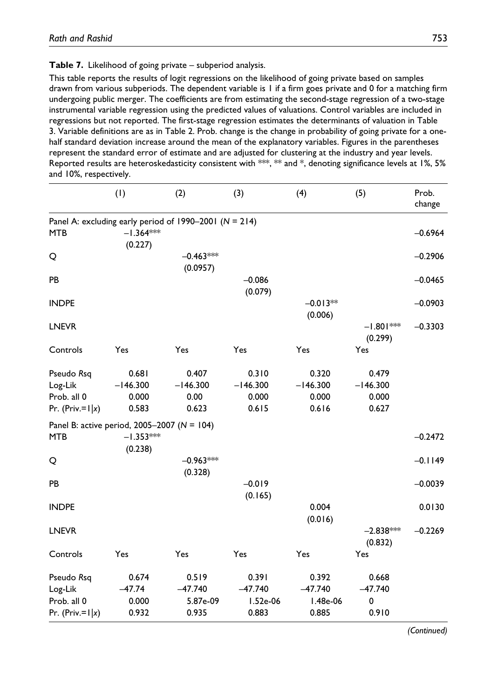**Table 7.** Likelihood of going private – subperiod analysis.

This table reports the results of logit regressions on the likelihood of going private based on samples drawn from various subperiods. The dependent variable is 1 if a firm goes private and 0 for a matching firm undergoing public merger. The coefficients are from estimating the second-stage regression of a two-stage instrumental variable regression using the predicted values of valuations. Control variables are included in regressions but not reported. The first-stage regression estimates the determinants of valuation in Table 3. Variable definitions are as in Table 2. Prob. change is the change in probability of going private for a onehalf standard deviation increase around the mean of the explanatory variables. Figures in the parentheses represent the standard error of estimate and are adjusted for clustering at the industry and year levels. Reported results are heteroskedasticity consistent with \*\*, \*\* and \*, denoting significance levels at 1%, 5% and 10%, respectively.

|                                                               | (1)         | (2)                                                        | (3)                 | (4)        | (5)                    | Prob.<br>change |
|---------------------------------------------------------------|-------------|------------------------------------------------------------|---------------------|------------|------------------------|-----------------|
|                                                               |             | Panel A: excluding early period of 1990-2001 ( $N = 214$ ) |                     |            |                        |                 |
| <b>MTB</b>                                                    | $-1.364***$ |                                                            |                     |            |                        | $-0.6964$       |
|                                                               | (0.227)     |                                                            |                     |            |                        |                 |
| Q                                                             |             | $-0.463***$<br>(0.0957)                                    |                     |            |                        | $-0.2906$       |
| PB                                                            |             |                                                            | $-0.086$<br>(0.079) |            |                        | $-0.0465$       |
| <b>INDPE</b>                                                  |             |                                                            |                     | $-0.013**$ |                        | $-0.0903$       |
|                                                               |             |                                                            |                     | (0.006)    |                        |                 |
| <b>LNEVR</b>                                                  |             |                                                            |                     |            | $-1.801***$<br>(0.299) | $-0.3303$       |
| Controls                                                      | Yes         | Yes                                                        | Yes                 | Yes        | Yes                    |                 |
| Pseudo Rsq                                                    | 0.681       | 0.407                                                      | 0.310               | 0.320      | 0.479                  |                 |
| Log-Lik                                                       | $-146.300$  | $-146.300$                                                 | $-146.300$          | $-146.300$ | $-146.300$             |                 |
| Prob. all 0                                                   | 0.000       | 0.00                                                       | 0.000               | 0.000      | 0.000                  |                 |
| Pr. (Priv.= $1 x$ )                                           | 0.583       | 0.623                                                      | 0.615               | 0.616      | 0.627                  |                 |
| Panel B: active period, 2005-2007 ( $N = 104$ )<br><b>MTB</b> | $-1.353***$ |                                                            |                     |            |                        | $-0.2472$       |
|                                                               | (0.238)     |                                                            |                     |            |                        |                 |
| Q                                                             |             | $-0.963***$                                                |                     |            |                        | $-0.1149$       |
| PB                                                            |             | (0.328)                                                    | $-0.019$            |            |                        | $-0.0039$       |
|                                                               |             |                                                            | (0.165)             |            |                        |                 |
| <b>INDPE</b>                                                  |             |                                                            |                     | 0.004      |                        | 0.0130          |
|                                                               |             |                                                            |                     | (0.016)    |                        |                 |
| <b>LNEVR</b>                                                  |             |                                                            |                     |            | $-2.838***$            | $-0.2269$       |
| Controls                                                      | Yes         | Yes                                                        | Yes                 | Yes        | (0.832)<br>Yes         |                 |
| Pseudo Rsq                                                    | 0.674       | 0.519                                                      | 0.391               | 0.392      | 0.668                  |                 |
| Log-Lik                                                       | $-47.74$    | $-47.740$                                                  | $-47.740$           | $-47.740$  | $-47.740$              |                 |
| Prob. all 0                                                   | 0.000       | 5.87e-09                                                   | I.52e-06            | I.48e-06   | 0                      |                 |
| Pr. (Priv.= $1 x$ )                                           | 0.932       | 0.935                                                      | 0.883               | 0.885      | 0.910                  |                 |

*(Continued)*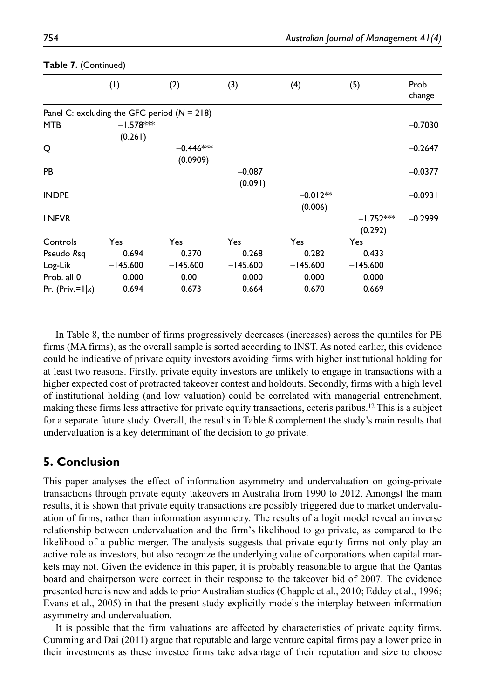|                                                 | (1)         | (2)         | (3)        | (4)        | (5)         | Prob.<br>change |
|-------------------------------------------------|-------------|-------------|------------|------------|-------------|-----------------|
| Panel C: excluding the GFC period ( $N = 218$ ) |             |             |            |            |             |                 |
| <b>MTB</b>                                      | $-1.578***$ |             |            |            |             | $-0.7030$       |
|                                                 | (0.261)     |             |            |            |             |                 |
| Q                                               |             | $-0.446***$ |            |            |             | $-0.2647$       |
|                                                 |             | (0.0909)    |            |            |             |                 |
| <b>PB</b>                                       |             |             | $-0.087$   |            |             | $-0.0377$       |
|                                                 |             |             | (0.091)    |            |             |                 |
| <b>INDPE</b>                                    |             |             |            | $-0.012**$ |             | $-0.0931$       |
|                                                 |             |             |            | (0.006)    |             |                 |
| <b>LNEVR</b>                                    |             |             |            |            | $-1.752***$ | $-0.2999$       |
|                                                 |             |             |            |            | (0.292)     |                 |
| Controls                                        | Yes         | Yes         | Yes        | Yes        | Yes         |                 |
| Pseudo Rsq                                      | 0.694       | 0.370       | 0.268      | 0.282      | 0.433       |                 |
| Log-Lik                                         | $-145.600$  | $-145.600$  | $-145.600$ | $-145.600$ | $-145.600$  |                 |
| Prob. all 0                                     | 0.000       | 0.00        | 0.000      | 0.000      | 0.000       |                 |
| Pr. (Priv.= $ x\rangle$ )                       | 0.694       | 0.673       | 0.664      | 0.670      | 0.669       |                 |

#### **Table 7.** (Continued)

In Table 8, the number of firms progressively decreases (increases) across the quintiles for PE firms (MA firms), as the overall sample is sorted according to INST. As noted earlier, this evidence could be indicative of private equity investors avoiding firms with higher institutional holding for at least two reasons. Firstly, private equity investors are unlikely to engage in transactions with a higher expected cost of protracted takeover contest and holdouts. Secondly, firms with a high level of institutional holding (and low valuation) could be correlated with managerial entrenchment, making these firms less attractive for private equity transactions, ceteris paribus.12 This is a subject for a separate future study. Overall, the results in Table 8 complement the study's main results that undervaluation is a key determinant of the decision to go private.

## **5. Conclusion**

This paper analyses the effect of information asymmetry and undervaluation on going-private transactions through private equity takeovers in Australia from 1990 to 2012. Amongst the main results, it is shown that private equity transactions are possibly triggered due to market undervaluation of firms, rather than information asymmetry. The results of a logit model reveal an inverse relationship between undervaluation and the firm's likelihood to go private, as compared to the likelihood of a public merger. The analysis suggests that private equity firms not only play an active role as investors, but also recognize the underlying value of corporations when capital markets may not. Given the evidence in this paper, it is probably reasonable to argue that the Qantas board and chairperson were correct in their response to the takeover bid of 2007. The evidence presented here is new and adds to prior Australian studies (Chapple et al., 2010; Eddey et al., 1996; Evans et al., 2005) in that the present study explicitly models the interplay between information asymmetry and undervaluation.

It is possible that the firm valuations are affected by characteristics of private equity firms. Cumming and Dai (2011) argue that reputable and large venture capital firms pay a lower price in their investments as these investee firms take advantage of their reputation and size to choose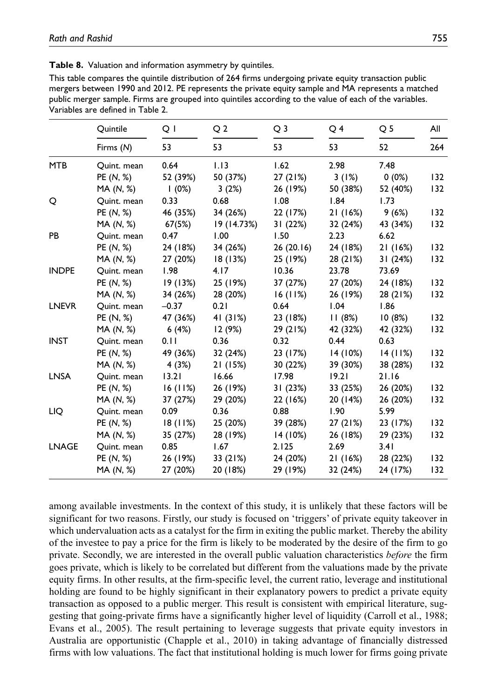|  |  | Table 8. Valuation and information asymmetry by quintiles. |  |  |
|--|--|------------------------------------------------------------|--|--|
|--|--|------------------------------------------------------------|--|--|

This table compares the quintile distribution of 264 firms undergoing private equity transaction public mergers between 1990 and 2012. PE represents the private equity sample and MA represents a matched public merger sample. Firms are grouped into quintiles according to the value of each of the variables. Variables are defined in Table 2.

|                                                                                                                                                                                                                                                                                                                                                                                                        | Q <sub>2</sub>                                                                                                                               | Q3        | Q4       | Q 5      | All |
|--------------------------------------------------------------------------------------------------------------------------------------------------------------------------------------------------------------------------------------------------------------------------------------------------------------------------------------------------------------------------------------------------------|----------------------------------------------------------------------------------------------------------------------------------------------|-----------|----------|----------|-----|
|                                                                                                                                                                                                                                                                                                                                                                                                        | 53                                                                                                                                           | 53        | 53       | 52       | 264 |
|                                                                                                                                                                                                                                                                                                                                                                                                        | 1.13                                                                                                                                         | 1.62      | 2.98     | 7.48     |     |
| 52 (39%)                                                                                                                                                                                                                                                                                                                                                                                               | 50 (37%)                                                                                                                                     | 27 (21%)  | 3(1%)    | $0(0\%)$ | 132 |
| 1(0%)                                                                                                                                                                                                                                                                                                                                                                                                  | 3(2%)                                                                                                                                        | 26 (19%)  | 50 (38%) | 52 (40%) | 132 |
|                                                                                                                                                                                                                                                                                                                                                                                                        | 0.68                                                                                                                                         | 1.08      | 1.84     | 1.73     |     |
|                                                                                                                                                                                                                                                                                                                                                                                                        | 34 (26%)                                                                                                                                     | 22 (17%)  | 21 (16%) | 9(6%)    | 132 |
| 67(5%)                                                                                                                                                                                                                                                                                                                                                                                                 | 19 (14.73%)                                                                                                                                  | 31 (22%)  | 32 (24%) | 43 (34%) | 132 |
|                                                                                                                                                                                                                                                                                                                                                                                                        | 1.00                                                                                                                                         | 1.50      | 2.23     | 6.62     |     |
| 24 (18%)                                                                                                                                                                                                                                                                                                                                                                                               | 34 (26%)                                                                                                                                     | 26(20.16) | 24 (18%) | 21 (16%) | 132 |
| 27 (20%)                                                                                                                                                                                                                                                                                                                                                                                               | 18 (13%)                                                                                                                                     | 25 (19%)  | 28 (21%) | 31(24%)  | 132 |
| 1.98                                                                                                                                                                                                                                                                                                                                                                                                   | 4.17                                                                                                                                         | 10.36     | 23.78    | 73.69    |     |
| 19 (13%)                                                                                                                                                                                                                                                                                                                                                                                               | 25 (19%)                                                                                                                                     | 37 (27%)  | 27 (20%) | 24 (18%) | 132 |
| 34 (26%)                                                                                                                                                                                                                                                                                                                                                                                               | 28 (20%)                                                                                                                                     | 16(11%)   | 26 (19%) | 28 (21%) | 132 |
|                                                                                                                                                                                                                                                                                                                                                                                                        | 0.21                                                                                                                                         | 0.64      | 1.04     | 1.86     |     |
|                                                                                                                                                                                                                                                                                                                                                                                                        | 41 $(31%)$                                                                                                                                   | 23 (18%)  | 11(8%)   | 10(8%)   | 132 |
| 6(4%)                                                                                                                                                                                                                                                                                                                                                                                                  | 12 (9%)                                                                                                                                      | 29 (21%)  | 42 (32%) | 42 (32%) | 132 |
|                                                                                                                                                                                                                                                                                                                                                                                                        | 0.36                                                                                                                                         | 0.32      | 0.44     | 0.63     |     |
|                                                                                                                                                                                                                                                                                                                                                                                                        | 32 (24%)                                                                                                                                     | 23 (17%)  | 14(10%)  | 14(11%)  | 132 |
| 4(3%)                                                                                                                                                                                                                                                                                                                                                                                                  | 21 (15%)                                                                                                                                     | 30 (22%)  | 39 (30%) | 38 (28%) | 132 |
| 13.21                                                                                                                                                                                                                                                                                                                                                                                                  | 16.66                                                                                                                                        | 17.98     | 19.21    | 21.16    |     |
| 16(11%)                                                                                                                                                                                                                                                                                                                                                                                                | 26 (19%)                                                                                                                                     | 31 (23%)  | 33 (25%) | 26 (20%) | 132 |
| 37 (27%)                                                                                                                                                                                                                                                                                                                                                                                               | 29 (20%)                                                                                                                                     | 22 (16%)  | 20 (14%) | 26 (20%) | 132 |
|                                                                                                                                                                                                                                                                                                                                                                                                        | 0.36                                                                                                                                         | 0.88      | 1.90     | 5.99     |     |
| 18(11%)                                                                                                                                                                                                                                                                                                                                                                                                | 25 (20%)                                                                                                                                     | 39 (28%)  | 27 (21%) | 23 (17%) | 132 |
|                                                                                                                                                                                                                                                                                                                                                                                                        | 28 (19%)                                                                                                                                     | 14 (10%)  | 26 (18%) | 29 (23%) | 132 |
|                                                                                                                                                                                                                                                                                                                                                                                                        | 1.67                                                                                                                                         | 2.125     | 2.69     | 3.41     |     |
|                                                                                                                                                                                                                                                                                                                                                                                                        | 33 (21%)                                                                                                                                     | 24 (20%)  | 21(16%)  | 28 (22%) | 132 |
|                                                                                                                                                                                                                                                                                                                                                                                                        | 20 (18%)                                                                                                                                     | 29 (19%)  | 32 (24%) | 24 (17%) | 132 |
| Quintile<br>Firms (N)<br>Quint. mean<br>PE (N, %)<br>MA (N, %)<br>Quint. mean<br>PE (N, %)<br>MA (N, %)<br>Quint. mean<br>PE (N, %)<br>MA (N, %)<br>Ouint. mean<br>PE (N, %)<br>MA (N, %)<br>Quint. mean<br>PE (N, %)<br>MA (N, %)<br>Quint. mean<br>PE (N, %)<br>MA (N, %)<br>Quint. mean<br>PE (N, %)<br>MA (N, %)<br>Quint. mean<br>PE (N, %)<br>MA (N, %)<br>Quint. mean<br>PE (N, %)<br>MA (N, %) | Q I<br>53<br>0.64<br>0.33<br>46 (35%)<br>0.47<br>$-0.37$<br>47 (36%)<br>0.11<br>49 (36%)<br>0.09<br>35 (27%)<br>0.85<br>26 (19%)<br>27 (20%) |           |          |          |     |

among available investments. In the context of this study, it is unlikely that these factors will be significant for two reasons. Firstly, our study is focused on 'triggers' of private equity takeover in which undervaluation acts as a catalyst for the firm in exiting the public market. Thereby the ability of the investee to pay a price for the firm is likely to be moderated by the desire of the firm to go private. Secondly, we are interested in the overall public valuation characteristics *before* the firm goes private, which is likely to be correlated but different from the valuations made by the private equity firms. In other results, at the firm-specific level, the current ratio, leverage and institutional holding are found to be highly significant in their explanatory powers to predict a private equity transaction as opposed to a public merger. This result is consistent with empirical literature, suggesting that going-private firms have a significantly higher level of liquidity (Carroll et al., 1988; Evans et al., 2005). The result pertaining to leverage suggests that private equity investors in Australia are opportunistic (Chapple et al., 2010) in taking advantage of financially distressed firms with low valuations. The fact that institutional holding is much lower for firms going private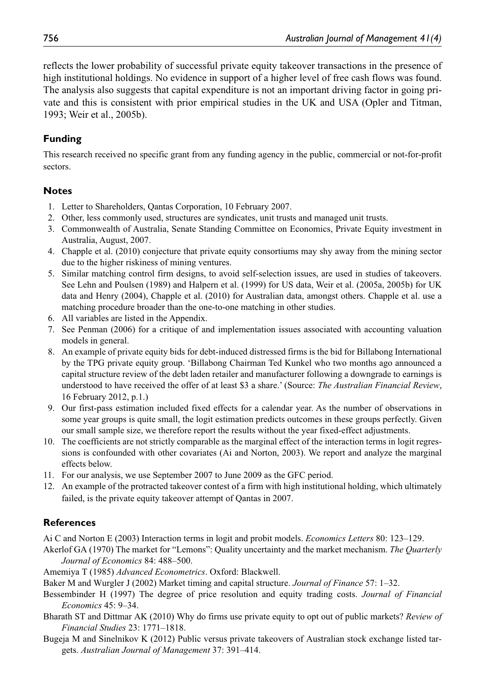reflects the lower probability of successful private equity takeover transactions in the presence of high institutional holdings. No evidence in support of a higher level of free cash flows was found. The analysis also suggests that capital expenditure is not an important driving factor in going private and this is consistent with prior empirical studies in the UK and USA (Opler and Titman, 1993; Weir et al., 2005b).

# **Funding**

This research received no specific grant from any funding agency in the public, commercial or not-for-profit sectors.

## **Notes**

- 1. Letter to Shareholders, Qantas Corporation, 10 February 2007.
- 2. Other, less commonly used, structures are syndicates, unit trusts and managed unit trusts.
- 3. Commonwealth of Australia, Senate Standing Committee on Economics, Private Equity investment in Australia, August, 2007.
- 4. Chapple et al. (2010) conjecture that private equity consortiums may shy away from the mining sector due to the higher riskiness of mining ventures.
- 5. Similar matching control firm designs, to avoid self-selection issues, are used in studies of takeovers. See Lehn and Poulsen (1989) and Halpern et al. (1999) for US data, Weir et al. (2005a, 2005b) for UK data and Henry (2004), Chapple et al. (2010) for Australian data, amongst others. Chapple et al. use a matching procedure broader than the one-to-one matching in other studies.
- 6. All variables are listed in the Appendix.
- 7. See Penman (2006) for a critique of and implementation issues associated with accounting valuation models in general.
- 8. An example of private equity bids for debt-induced distressed firms is the bid for Billabong International by the TPG private equity group. 'Billabong Chairman Ted Kunkel who two months ago announced a capital structure review of the debt laden retailer and manufacturer following a downgrade to earnings is understood to have received the offer of at least \$3 a share.' (Source: *The Australian Financial Review*, 16 February 2012, p.1.)
- 9. Our first-pass estimation included fixed effects for a calendar year. As the number of observations in some year groups is quite small, the logit estimation predicts outcomes in these groups perfectly. Given our small sample size, we therefore report the results without the year fixed-effect adjustments.
- 10. The coefficients are not strictly comparable as the marginal effect of the interaction terms in logit regressions is confounded with other covariates (Ai and Norton, 2003). We report and analyze the marginal effects below.
- 11. For our analysis, we use September 2007 to June 2009 as the GFC period.
- 12. An example of the protracted takeover contest of a firm with high institutional holding, which ultimately failed, is the private equity takeover attempt of Qantas in 2007.

# **References**

Ai C and Norton E (2003) Interaction terms in logit and probit models. *Economics Letters* 80: 123–129.

- Akerlof GA (1970) The market for "Lemons": Quality uncertainty and the market mechanism. *The Quarterly Journal of Economics* 84: 488–500.
- Amemiya T (1985) *Advanced Econometrics*. Oxford: Blackwell.
- Baker M and Wurgler J (2002) Market timing and capital structure. *Journal of Finance* 57: 1–32.
- Bessembinder H (1997) The degree of price resolution and equity trading costs. *Journal of Financial Economics* 45: 9–34.
- Bharath ST and Dittmar AK (2010) Why do firms use private equity to opt out of public markets? *Review of Financial Studies* 23: 1771–1818.
- Bugeja M and Sinelnikov K (2012) Public versus private takeovers of Australian stock exchange listed targets. *Australian Journal of Management* 37: 391–414.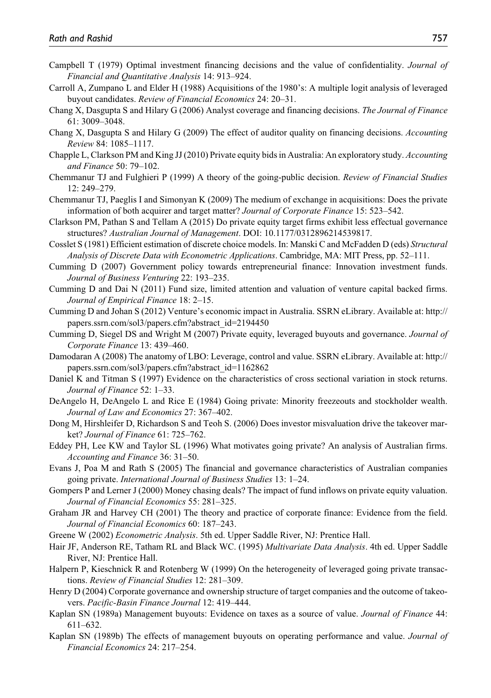- Campbell T (1979) Optimal investment financing decisions and the value of confidentiality. *Journal of Financial and Quantitative Analysis* 14: 913–924.
- Carroll A, Zumpano L and Elder H (1988) Acquisitions of the 1980's: A multiple logit analysis of leveraged buyout candidates. *Review of Financial Economics* 24: 20–31.
- Chang X, Dasgupta S and Hilary G (2006) Analyst coverage and financing decisions. *The Journal of Finance* 61: 3009–3048.
- Chang X, Dasgupta S and Hilary G (2009) The effect of auditor quality on financing decisions. *Accounting Review* 84: 1085–1117.
- Chapple L, Clarkson PM and King JJ (2010) Private equity bids in Australia: An exploratory study. *Accounting and Finance* 50: 79–102.
- Chemmanur TJ and Fulghieri P (1999) A theory of the going-public decision. *Review of Financial Studies* 12: 249–279.
- Chemmanur TJ, Paeglis I and Simonyan K (2009) The medium of exchange in acquisitions: Does the private information of both acquirer and target matter? *Journal of Corporate Finance* 15: 523–542.
- Clarkson PM, Pathan S and Tellam A (2015) Do private equity target firms exhibit less effectual governance structures? *Australian Journal of Management*. DOI: 10.1177/0312896214539817.
- Cosslet S (1981) Efficient estimation of discrete choice models. In: Manski C and McFadden D (eds) *Structural Analysis of Discrete Data with Econometric Applications*. Cambridge, MA: MIT Press, pp. 52–111.
- Cumming D (2007) Government policy towards entrepreneurial finance: Innovation investment funds. *Journal of Business Venturing* 22: 193–235.
- Cumming D and Dai N (2011) Fund size, limited attention and valuation of venture capital backed firms. *Journal of Empirical Finance* 18: 2–15.
- Cumming D and Johan S (2012) Venture's economic impact in Australia. SSRN eLibrary. Available at: [http://](http://papers.ssrn.com/sol3/papers.cfm?abstract_id=2194450) [papers.ssrn.com/sol3/papers.cfm?abstract\\_id=2194450](http://papers.ssrn.com/sol3/papers.cfm?abstract_id=2194450)
- Cumming D, Siegel DS and Wright M (2007) Private equity, leveraged buyouts and governance. *Journal of Corporate Finance* 13: 439–460.
- Damodaran A (2008) The anatomy of LBO: Leverage, control and value. SSRN eLibrary. Available at: [http://](http://papers.ssrn.com/sol3/papers.cfm?abstract_id=1162862) [papers.ssrn.com/sol3/papers.cfm?abstract\\_id=1162862](http://papers.ssrn.com/sol3/papers.cfm?abstract_id=1162862)
- Daniel K and Titman S (1997) Evidence on the characteristics of cross sectional variation in stock returns. *Journal of Finance* 52: 1–33.
- DeAngelo H, DeAngelo L and Rice E (1984) Going private: Minority freezeouts and stockholder wealth. *Journal of Law and Economics* 27: 367–402.
- Dong M, Hirshleifer D, Richardson S and Teoh S. (2006) Does investor misvaluation drive the takeover market? *Journal of Finance* 61: 725–762.
- Eddey PH, Lee KW and Taylor SL (1996) What motivates going private? An analysis of Australian firms. *Accounting and Finance* 36: 31–50.
- Evans J, Poa M and Rath S (2005) The financial and governance characteristics of Australian companies going private. *International Journal of Business Studies* 13: 1–24.
- Gompers P and Lerner J (2000) Money chasing deals? The impact of fund inflows on private equity valuation. *Journal of Financial Economics* 55: 281–325.
- Graham JR and Harvey CH (2001) The theory and practice of corporate finance: Evidence from the field. *Journal of Financial Economics* 60: 187–243.
- Greene W (2002) *Econometric Analysis*. 5th ed. Upper Saddle River, NJ: Prentice Hall.
- Hair JF, Anderson RE, Tatham RL and Black WC. (1995) *Multivariate Data Analysis*. 4th ed. Upper Saddle River, NJ: Prentice Hall.
- Halpern P, Kieschnick R and Rotenberg W (1999) On the heterogeneity of leveraged going private transactions. *Review of Financial Studies* 12: 281–309.
- Henry D (2004) Corporate governance and ownership structure of target companies and the outcome of takeovers. *Pacific-Basin Finance Journal* 12: 419–444.
- Kaplan SN (1989a) Management buyouts: Evidence on taxes as a source of value. *Journal of Finance* 44: 611–632.
- Kaplan SN (1989b) The effects of management buyouts on operating performance and value. *Journal of Financial Economics* 24: 217–254.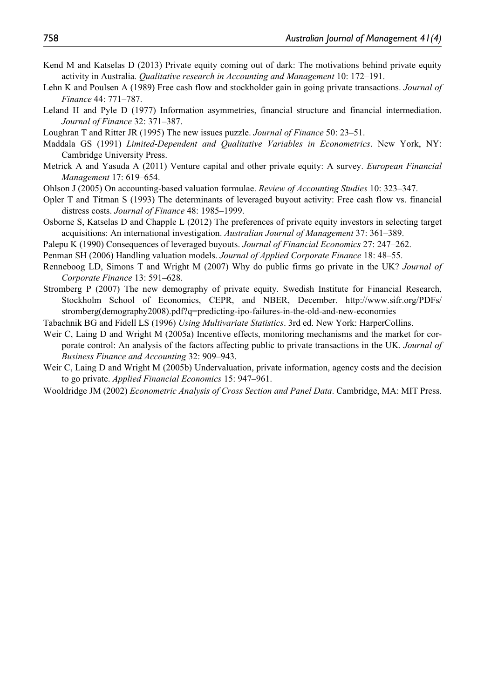- Kend M and Katselas D (2013) Private equity coming out of dark: The motivations behind private equity activity in Australia. *Qualitative research in Accounting and Management* 10: 172–191.
- Lehn K and Poulsen A (1989) Free cash flow and stockholder gain in going private transactions. *Journal of Finance* 44: 771–787.
- Leland H and Pyle D (1977) Information asymmetries, financial structure and financial intermediation. *Journal of Finance* 32: 371–387.
- Loughran T and Ritter JR (1995) The new issues puzzle. *Journal of Finance* 50: 23–51.
- Maddala GS (1991) *Limited-Dependent and Qualitative Variables in Econometrics*. New York, NY: Cambridge University Press.
- Metrick A and Yasuda A (2011) Venture capital and other private equity: A survey. *European Financial Management* 17: 619–654.
- Ohlson J (2005) On accounting-based valuation formulae. *Review of Accounting Studies* 10: 323–347.
- Opler T and Titman S (1993) The determinants of leveraged buyout activity: Free cash flow vs. financial distress costs. *Journal of Finance* 48: 1985–1999.
- Osborne S, Katselas D and Chapple L (2012) The preferences of private equity investors in selecting target acquisitions: An international investigation. *Australian Journal of Management* 37: 361–389.
- Palepu K (1990) Consequences of leveraged buyouts. *Journal of Financial Economics* 27: 247–262.
- Penman SH (2006) Handling valuation models. *Journal of Applied Corporate Finance* 18: 48–55.
- Renneboog LD, Simons T and Wright M (2007) Why do public firms go private in the UK? *Journal of Corporate Finance* 13: 591–628.
- Stromberg P (2007) The new demography of private equity. Swedish Institute for Financial Research, Stockholm School of Economics, CEPR, and NBER, December. [http://www.sifr.org/PDFs/](http://www.sifr.org/PDFs/stromberg(demography2008).pdf?q=predicting-ipo-failures-in-the-old-and-new-economies) [stromberg\(demography2008\).pdf?q=predicting-ipo-failures-in-the-old-and-new-economies](http://www.sifr.org/PDFs/stromberg(demography2008).pdf?q=predicting-ipo-failures-in-the-old-and-new-economies)
- Tabachnik BG and Fidell LS (1996) *Using Multivariate Statistics*. 3rd ed. New York: HarperCollins.
- Weir C, Laing D and Wright M (2005a) Incentive effects, monitoring mechanisms and the market for corporate control: An analysis of the factors affecting public to private transactions in the UK. *Journal of Business Finance and Accounting* 32: 909–943.
- Weir C, Laing D and Wright M (2005b) Undervaluation, private information, agency costs and the decision to go private. *Applied Financial Economics* 15: 947–961.

Wooldridge JM (2002) *Econometric Analysis of Cross Section and Panel Data*. Cambridge, MA: MIT Press.